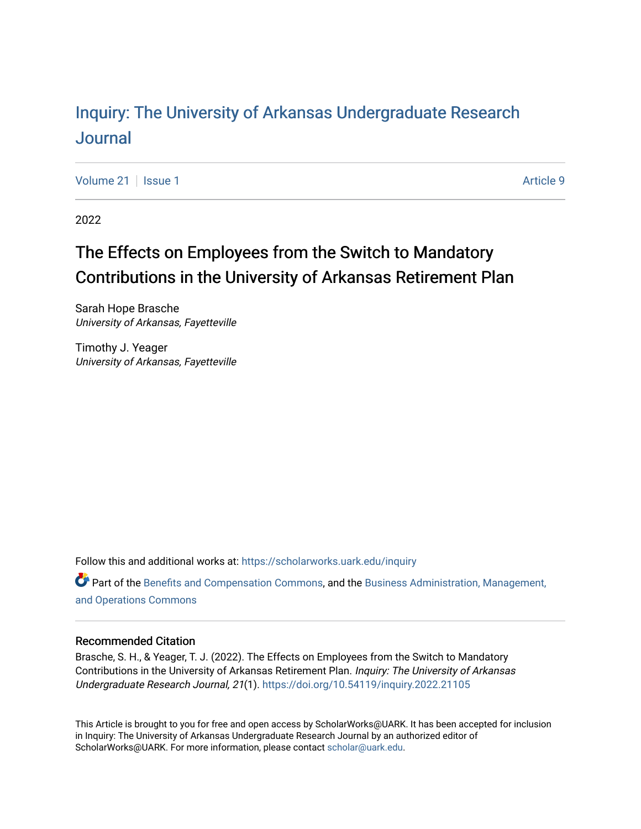## Inquiry: The Univ[ersity of Arkansas Undergraduate Resear](https://scholarworks.uark.edu/inquiry)ch [Journal](https://scholarworks.uark.edu/inquiry)

[Volume 21](https://scholarworks.uark.edu/inquiry/vol21) | [Issue 1](https://scholarworks.uark.edu/inquiry/vol21/iss1) Article 9

2022

# The Effects on Employees from the Switch to Mandatory Contributions in the University of Arkansas Retirement Plan

Sarah Hope Brasche University of Arkansas, Fayetteville

Timothy J. Yeager University of Arkansas, Fayetteville

Follow this and additional works at: [https://scholarworks.uark.edu/inquiry](https://scholarworks.uark.edu/inquiry?utm_source=scholarworks.uark.edu%2Finquiry%2Fvol21%2Fiss1%2F9&utm_medium=PDF&utm_campaign=PDFCoverPages)

Part of the [Benefits and Compensation Commons,](http://network.bepress.com/hgg/discipline/1255?utm_source=scholarworks.uark.edu%2Finquiry%2Fvol21%2Fiss1%2F9&utm_medium=PDF&utm_campaign=PDFCoverPages) and the [Business Administration, Management,](http://network.bepress.com/hgg/discipline/623?utm_source=scholarworks.uark.edu%2Finquiry%2Fvol21%2Fiss1%2F9&utm_medium=PDF&utm_campaign=PDFCoverPages) [and Operations Commons](http://network.bepress.com/hgg/discipline/623?utm_source=scholarworks.uark.edu%2Finquiry%2Fvol21%2Fiss1%2F9&utm_medium=PDF&utm_campaign=PDFCoverPages)

#### Recommended Citation

Brasche, S. H., & Yeager, T. J. (2022). The Effects on Employees from the Switch to Mandatory Contributions in the University of Arkansas Retirement Plan. Inquiry: The University of Arkansas Undergraduate Research Journal, 21(1). <https://doi.org/10.54119/inquiry.2022.21105>

This Article is brought to you for free and open access by ScholarWorks@UARK. It has been accepted for inclusion in Inquiry: The University of Arkansas Undergraduate Research Journal by an authorized editor of ScholarWorks@UARK. For more information, please contact [scholar@uark.edu](mailto:scholar@uark.edu).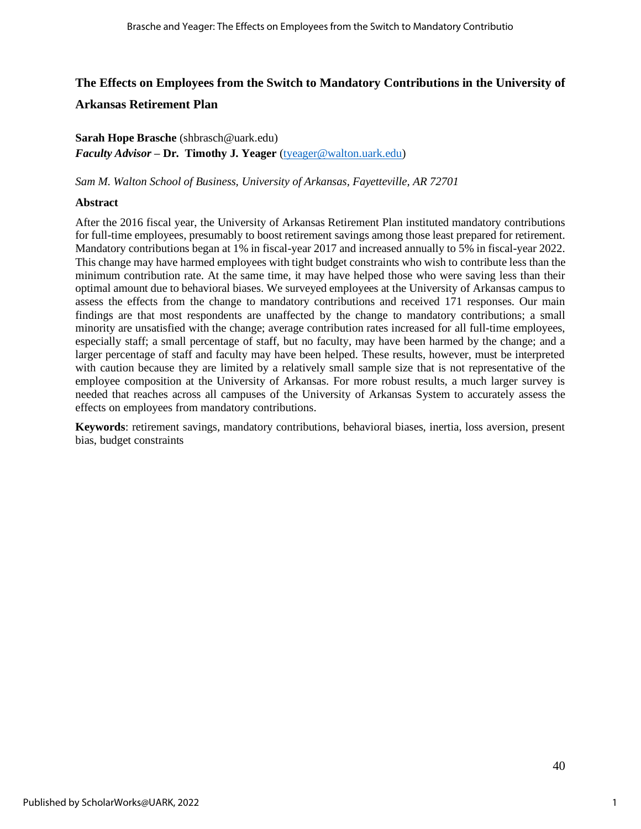## **The Effects on Employees from the Switch to Mandatory Contributions in the University of Arkansas Retirement Plan**

## **Sarah Hope Brasche** (shbrasch@uark.edu) *Faculty Advisor –* **Dr. Timothy J. Yeager** [\(tyeager@walton.uark.edu\)](mailto:tyeager@walton.uark.edu)

*Sam M. Walton School of Business, University of Arkansas, Fayetteville, AR 72701* 

## **Abstract**

After the 2016 fiscal year, the University of Arkansas Retirement Plan instituted mandatory contributions for full-time employees, presumably to boost retirement savings among those least prepared for retirement. Mandatory contributions began at 1% in fiscal-year 2017 and increased annually to 5% in fiscal-year 2022. This change may have harmed employees with tight budget constraints who wish to contribute less than the minimum contribution rate. At the same time, it may have helped those who were saving less than their optimal amount due to behavioral biases. We surveyed employees at the University of Arkansas campus to assess the effects from the change to mandatory contributions and received 171 responses. Our main findings are that most respondents are unaffected by the change to mandatory contributions; a small minority are unsatisfied with the change; average contribution rates increased for all full-time employees, especially staff; a small percentage of staff, but no faculty, may have been harmed by the change; and a larger percentage of staff and faculty may have been helped. These results, however, must be interpreted with caution because they are limited by a relatively small sample size that is not representative of the employee composition at the University of Arkansas. For more robust results, a much larger survey is needed that reaches across all campuses of the University of Arkansas System to accurately assess the effects on employees from mandatory contributions.

**Keywords**: retirement savings, mandatory contributions, behavioral biases, inertia, loss aversion, present bias, budget constraints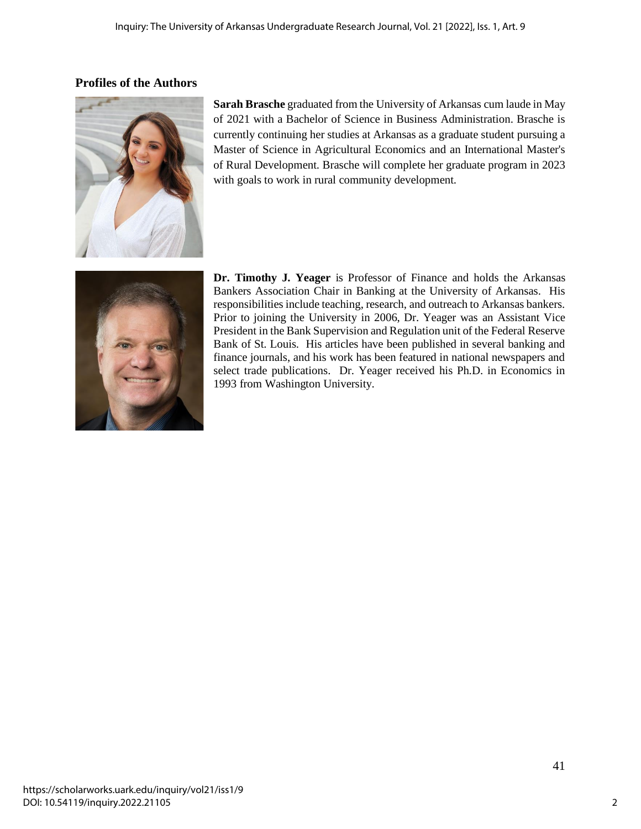## **Profiles of the Authors**



**Sarah Brasche** graduated from the University of Arkansas cum laude in May of 2021 with a Bachelor of Science in Business Administration. Brasche is currently continuing her studies at Arkansas as a graduate student pursuing a Master of Science in Agricultural Economics and an International Master's of Rural Development. Brasche will complete her graduate program in 2023 with goals to work in rural community development.



**Dr. Timothy J. Yeager** is Professor of Finance and holds the Arkansas Bankers Association Chair in Banking at the University of Arkansas. His responsibilities include teaching, research, and outreach to Arkansas bankers. Prior to joining the University in 2006, Dr. Yeager was an Assistant Vice President in the Bank Supervision and Regulation unit of the Federal Reserve Bank of St. Louis. His articles have been published in several banking and finance journals, and his work has been featured in national newspapers and select trade publications. Dr. Yeager received his Ph.D. in Economics in 1993 from Washington University.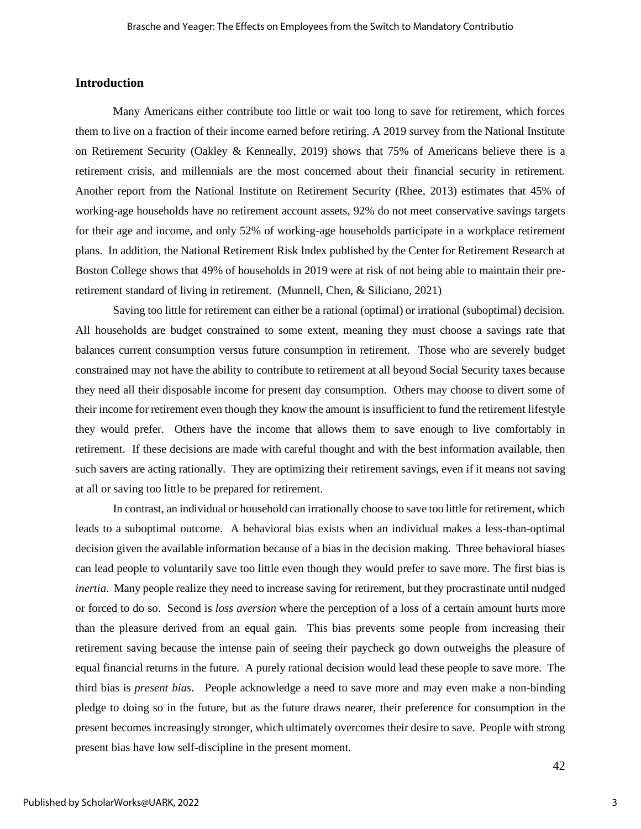#### **Introduction**

Many Americans either contribute too little or wait too long to save for retirement, which forces them to live on a fraction of their income earned before retiring. A 2019 survey from the National Institute on Retirement Security (Oakley & Kenneally, 2019) shows that 75% of Americans believe there is a retirement crisis, and millennials are the most concerned about their financial security in retirement. Another report from the National Institute on Retirement Security (Rhee, 2013) estimates that 45% of working-age households have no retirement account assets, 92% do not meet conservative savings targets for their age and income, and only 52% of working-age households participate in a workplace retirement plans. In addition, the National Retirement Risk Index published by the Center for Retirement Research at Boston College shows that 49% of households in 2019 were at risk of not being able to maintain their preretirement standard of living in retirement. (Munnell, Chen, & Siliciano, 2021)

Saving too little for retirement can either be a rational (optimal) or irrational (suboptimal) decision. All households are budget constrained to some extent, meaning they must choose a savings rate that balances current consumption versus future consumption in retirement. Those who are severely budget constrained may not have the ability to contribute to retirement at all beyond Social Security taxes because they need all their disposable income for present day consumption. Others may choose to divert some of their income for retirement even though they know the amount is insufficient to fund the retirement lifestyle they would prefer. Others have the income that allows them to save enough to live comfortably in retirement. If these decisions are made with careful thought and with the best information available, then such savers are acting rationally. They are optimizing their retirement savings, even if it means not saving at all or saving too little to be prepared for retirement.

In contrast, an individual or household can irrationally choose to save too little for retirement, which leads to a suboptimal outcome. A behavioral bias exists when an individual makes a less-than-optimal decision given the available information because of a bias in the decision making. Three behavioral biases can lead people to voluntarily save too little even though they would prefer to save more. The first bias is *inertia*. Many people realize they need to increase saving for retirement, but they procrastinate until nudged or forced to do so. Second is *loss aversion* where the perception of a loss of a certain amount hurts more than the pleasure derived from an equal gain. This bias prevents some people from increasing their retirement saving because the intense pain of seeing their paycheck go down outweighs the pleasure of equal financial returns in the future. A purely rational decision would lead these people to save more. The third bias is *present bias*. People acknowledge a need to save more and may even make a non-binding pledge to doing so in the future, but as the future draws nearer, their preference for consumption in the present becomes increasingly stronger, which ultimately overcomes their desire to save. People with strong present bias have low self-discipline in the present moment.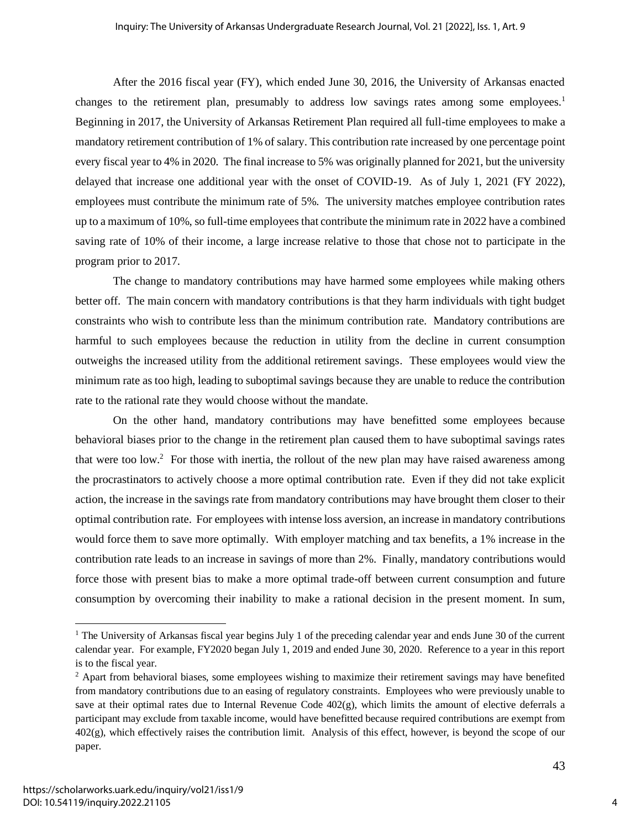After the 2016 fiscal year (FY), which ended June 30, 2016, the University of Arkansas enacted changes to the retirement plan, presumably to address low savings rates among some employees.<sup>1</sup> Beginning in 2017, the University of Arkansas Retirement Plan required all full-time employees to make a mandatory retirement contribution of 1% of salary. This contribution rate increased by one percentage point every fiscal year to 4% in 2020. The final increase to 5% was originally planned for 2021, but the university delayed that increase one additional year with the onset of COVID-19. As of July 1, 2021 (FY 2022), employees must contribute the minimum rate of 5%. The university matches employee contribution rates up to a maximum of 10%, so full-time employees that contribute the minimum rate in 2022 have a combined saving rate of 10% of their income, a large increase relative to those that chose not to participate in the program prior to 2017.

The change to mandatory contributions may have harmed some employees while making others better off. The main concern with mandatory contributions is that they harm individuals with tight budget constraints who wish to contribute less than the minimum contribution rate. Mandatory contributions are harmful to such employees because the reduction in utility from the decline in current consumption outweighs the increased utility from the additional retirement savings. These employees would view the minimum rate as too high, leading to suboptimal savings because they are unable to reduce the contribution rate to the rational rate they would choose without the mandate.

On the other hand, mandatory contributions may have benefitted some employees because behavioral biases prior to the change in the retirement plan caused them to have suboptimal savings rates that were too low.<sup>2</sup> For those with inertia, the rollout of the new plan may have raised awareness among the procrastinators to actively choose a more optimal contribution rate. Even if they did not take explicit action, the increase in the savings rate from mandatory contributions may have brought them closer to their optimal contribution rate. For employees with intense loss aversion, an increase in mandatory contributions would force them to save more optimally. With employer matching and tax benefits, a 1% increase in the contribution rate leads to an increase in savings of more than 2%. Finally, mandatory contributions would force those with present bias to make a more optimal trade-off between current consumption and future consumption by overcoming their inability to make a rational decision in the present moment. In sum,

<sup>&</sup>lt;sup>1</sup> The University of Arkansas fiscal year begins July 1 of the preceding calendar year and ends June 30 of the current calendar year. For example, FY2020 began July 1, 2019 and ended June 30, 2020. Reference to a year in this report is to the fiscal year.

<sup>&</sup>lt;sup>2</sup> Apart from behavioral biases, some employees wishing to maximize their retirement savings may have benefited from mandatory contributions due to an easing of regulatory constraints. Employees who were previously unable to save at their optimal rates due to Internal Revenue Code  $402(g)$ , which limits the amount of elective deferrals a participant may exclude from taxable income, would have benefitted because required contributions are exempt from 402(g), which effectively raises the contribution limit. Analysis of this effect, however, is beyond the scope of our paper.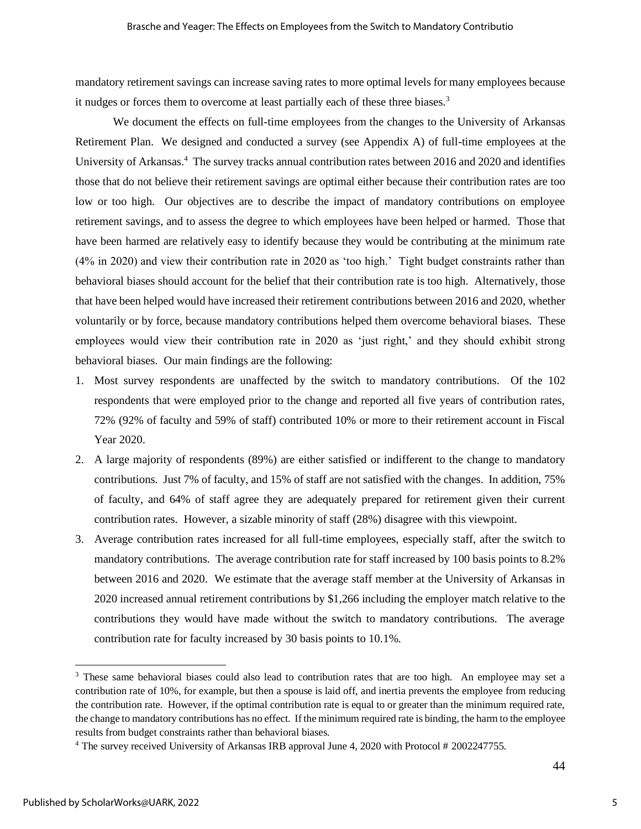mandatory retirement savings can increase saving rates to more optimal levels for many employees because it nudges or forces them to overcome at least partially each of these three biases.<sup>3</sup>

We document the effects on full-time employees from the changes to the University of Arkansas Retirement Plan. We designed and conducted a survey (see Appendix A) of full-time employees at the University of Arkansas.<sup>4</sup> The survey tracks annual contribution rates between 2016 and 2020 and identifies those that do not believe their retirement savings are optimal either because their contribution rates are too low or too high. Our objectives are to describe the impact of mandatory contributions on employee retirement savings, and to assess the degree to which employees have been helped or harmed. Those that have been harmed are relatively easy to identify because they would be contributing at the minimum rate (4% in 2020) and view their contribution rate in 2020 as 'too high.' Tight budget constraints rather than behavioral biases should account for the belief that their contribution rate is too high. Alternatively, those that have been helped would have increased their retirement contributions between 2016 and 2020, whether voluntarily or by force, because mandatory contributions helped them overcome behavioral biases. These employees would view their contribution rate in 2020 as 'just right,' and they should exhibit strong behavioral biases. Our main findings are the following:

- 1. Most survey respondents are unaffected by the switch to mandatory contributions. Of the 102 respondents that were employed prior to the change and reported all five years of contribution rates, 72% (92% of faculty and 59% of staff) contributed 10% or more to their retirement account in Fiscal Year 2020.
- 2. A large majority of respondents (89%) are either satisfied or indifferent to the change to mandatory contributions. Just 7% of faculty, and 15% of staff are not satisfied with the changes. In addition, 75% of faculty, and 64% of staff agree they are adequately prepared for retirement given their current contribution rates. However, a sizable minority of staff (28%) disagree with this viewpoint.
- 3. Average contribution rates increased for all full-time employees, especially staff, after the switch to mandatory contributions. The average contribution rate for staff increased by 100 basis points to 8.2% between 2016 and 2020. We estimate that the average staff member at the University of Arkansas in 2020 increased annual retirement contributions by \$1,266 including the employer match relative to the contributions they would have made without the switch to mandatory contributions. The average contribution rate for faculty increased by 30 basis points to 10.1%.

<sup>&</sup>lt;sup>3</sup> These same behavioral biases could also lead to contribution rates that are too high. An employee may set a contribution rate of 10%, for example, but then a spouse is laid off, and inertia prevents the employee from reducing the contribution rate. However, if the optimal contribution rate is equal to or greater than the minimum required rate, the change to mandatory contributions has no effect. If the minimum required rate is binding, the harm to the employee results from budget constraints rather than behavioral biases.

<sup>4</sup> The survey received University of Arkansas IRB approval June 4, 2020 with Protocol # 2002247755.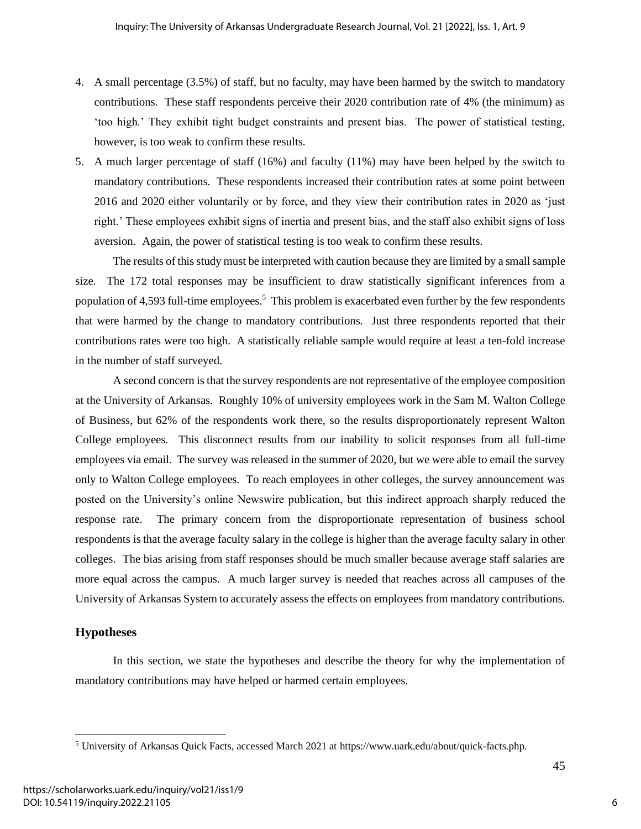- 4. A small percentage (3.5%) of staff, but no faculty, may have been harmed by the switch to mandatory contributions. These staff respondents perceive their 2020 contribution rate of 4% (the minimum) as 'too high.' They exhibit tight budget constraints and present bias. The power of statistical testing, however, is too weak to confirm these results.
- 5. A much larger percentage of staff (16%) and faculty (11%) may have been helped by the switch to mandatory contributions. These respondents increased their contribution rates at some point between 2016 and 2020 either voluntarily or by force, and they view their contribution rates in 2020 as 'just right.' These employees exhibit signs of inertia and present bias, and the staff also exhibit signs of loss aversion. Again, the power of statistical testing is too weak to confirm these results.

The results of this study must be interpreted with caution because they are limited by a small sample size. The 172 total responses may be insufficient to draw statistically significant inferences from a population of 4,593 full-time employees.<sup>5</sup> This problem is exacerbated even further by the few respondents that were harmed by the change to mandatory contributions. Just three respondents reported that their contributions rates were too high. A statistically reliable sample would require at least a ten-fold increase in the number of staff surveyed.

A second concern is that the survey respondents are not representative of the employee composition at the University of Arkansas. Roughly 10% of university employees work in the Sam M. Walton College of Business, but 62% of the respondents work there, so the results disproportionately represent Walton College employees. This disconnect results from our inability to solicit responses from all full-time employees via email. The survey was released in the summer of 2020, but we were able to email the survey only to Walton College employees. To reach employees in other colleges, the survey announcement was posted on the University's online Newswire publication, but this indirect approach sharply reduced the response rate. The primary concern from the disproportionate representation of business school respondents is that the average faculty salary in the college is higher than the average faculty salary in other colleges. The bias arising from staff responses should be much smaller because average staff salaries are more equal across the campus. A much larger survey is needed that reaches across all campuses of the University of Arkansas System to accurately assess the effects on employees from mandatory contributions.

## **Hypotheses**

In this section, we state the hypotheses and describe the theory for why the implementation of mandatory contributions may have helped or harmed certain employees.

6

45

<sup>5</sup> University of Arkansas Quick Facts, accessed March 2021 at https://www.uark.edu/about/quick-facts.php.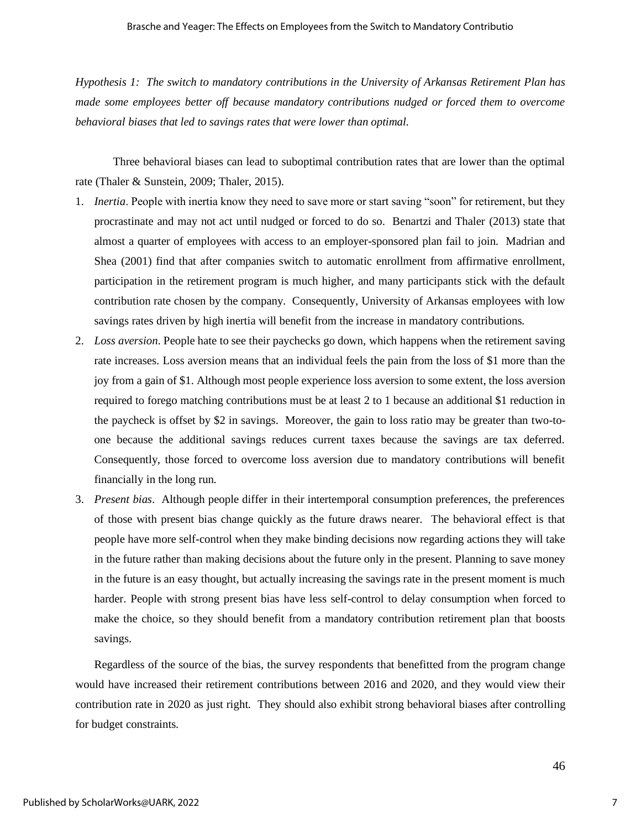*Hypothesis 1: The switch to mandatory contributions in the University of Arkansas Retirement Plan has made some employees better off because mandatory contributions nudged or forced them to overcome behavioral biases that led to savings rates that were lower than optimal.*

Three behavioral biases can lead to suboptimal contribution rates that are lower than the optimal rate (Thaler & Sunstein, 2009; Thaler, 2015).

- 1. *Inertia*. People with inertia know they need to save more or start saving "soon" for retirement, but they procrastinate and may not act until nudged or forced to do so. Benartzi and Thaler (2013) state that almost a quarter of employees with access to an employer-sponsored plan fail to join. Madrian and Shea (2001) find that after companies switch to automatic enrollment from affirmative enrollment, participation in the retirement program is much higher, and many participants stick with the default contribution rate chosen by the company. Consequently, University of Arkansas employees with low savings rates driven by high inertia will benefit from the increase in mandatory contributions.
- 2. *Loss aversion*. People hate to see their paychecks go down, which happens when the retirement saving rate increases. Loss aversion means that an individual feels the pain from the loss of \$1 more than the joy from a gain of \$1. Although most people experience loss aversion to some extent, the loss aversion required to forego matching contributions must be at least 2 to 1 because an additional \$1 reduction in the paycheck is offset by \$2 in savings. Moreover, the gain to loss ratio may be greater than two-toone because the additional savings reduces current taxes because the savings are tax deferred. Consequently, those forced to overcome loss aversion due to mandatory contributions will benefit financially in the long run.
- 3. *Present bias*. Although people differ in their intertemporal consumption preferences, the preferences of those with present bias change quickly as the future draws nearer. The behavioral effect is that people have more self-control when they make binding decisions now regarding actions they will take in the future rather than making decisions about the future only in the present. Planning to save money in the future is an easy thought, but actually increasing the savings rate in the present moment is much harder. People with strong present bias have less self-control to delay consumption when forced to make the choice, so they should benefit from a mandatory contribution retirement plan that boosts savings.

Regardless of the source of the bias, the survey respondents that benefitted from the program change would have increased their retirement contributions between 2016 and 2020, and they would view their contribution rate in 2020 as just right. They should also exhibit strong behavioral biases after controlling for budget constraints.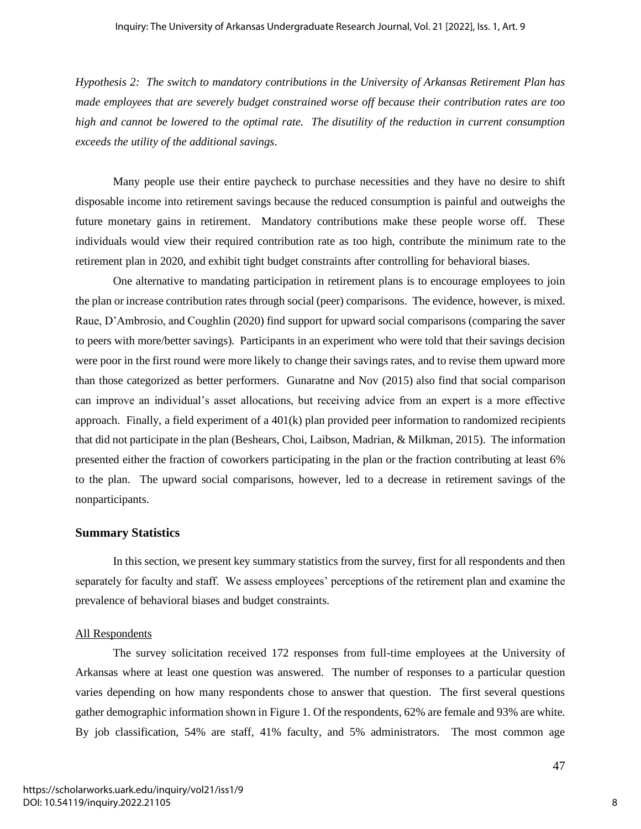*Hypothesis 2: The switch to mandatory contributions in the University of Arkansas Retirement Plan has made employees that are severely budget constrained worse off because their contribution rates are too high and cannot be lowered to the optimal rate. The disutility of the reduction in current consumption exceeds the utility of the additional savings*.

Many people use their entire paycheck to purchase necessities and they have no desire to shift disposable income into retirement savings because the reduced consumption is painful and outweighs the future monetary gains in retirement. Mandatory contributions make these people worse off. These individuals would view their required contribution rate as too high, contribute the minimum rate to the retirement plan in 2020, and exhibit tight budget constraints after controlling for behavioral biases.

One alternative to mandating participation in retirement plans is to encourage employees to join the plan or increase contribution rates through social (peer) comparisons. The evidence, however, is mixed. Raue, D'Ambrosio, and Coughlin (2020) find support for upward social comparisons (comparing the saver to peers with more/better savings). Participants in an experiment who were told that their savings decision were poor in the first round were more likely to change their savings rates, and to revise them upward more than those categorized as better performers. Gunaratne and Nov (2015) also find that social comparison can improve an individual's asset allocations, but receiving advice from an expert is a more effective approach. Finally, a field experiment of a 401(k) plan provided peer information to randomized recipients that did not participate in the plan (Beshears, Choi, Laibson, Madrian, & Milkman, 2015). The information presented either the fraction of coworkers participating in the plan or the fraction contributing at least 6% to the plan. The upward social comparisons, however, led to a decrease in retirement savings of the nonparticipants.

#### **Summary Statistics**

In this section, we present key summary statistics from the survey, first for all respondents and then separately for faculty and staff. We assess employees' perceptions of the retirement plan and examine the prevalence of behavioral biases and budget constraints.

#### All Respondents

The survey solicitation received 172 responses from full-time employees at the University of Arkansas where at least one question was answered. The number of responses to a particular question varies depending on how many respondents chose to answer that question. The first several questions gather demographic information shown in Figure 1. Of the respondents, 62% are female and 93% are white. By job classification, 54% are staff, 41% faculty, and 5% administrators. The most common age

8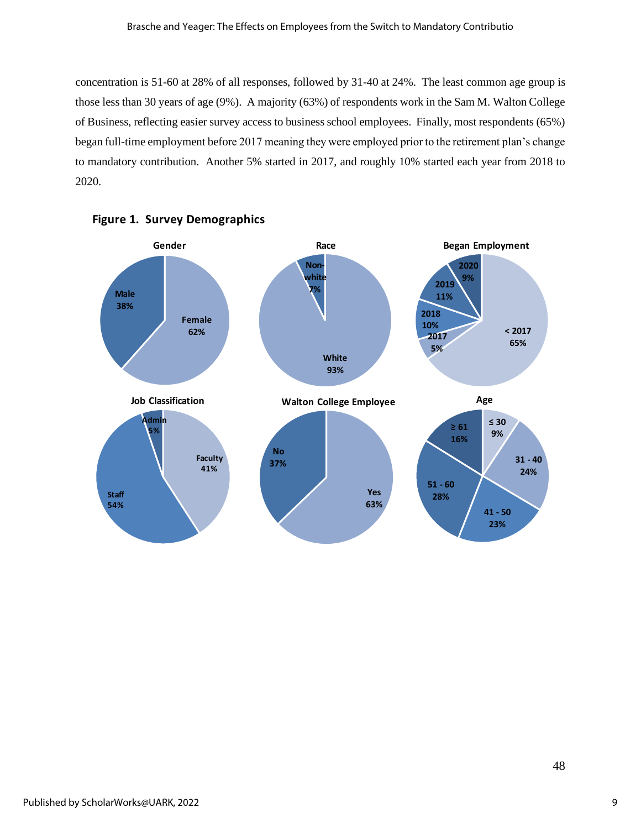concentration is 51-60 at 28% of all responses, followed by 31-40 at 24%. The least common age group is those less than 30 years of age (9%). A majority (63%) of respondents work in the Sam M. Walton College of Business, reflecting easier survey access to business school employees. Finally, most respondents (65%) began full-time employment before 2017 meaning they were employed prior to the retirement plan's change to mandatory contribution. Another 5% started in 2017, and roughly 10% started each year from 2018 to 2020.



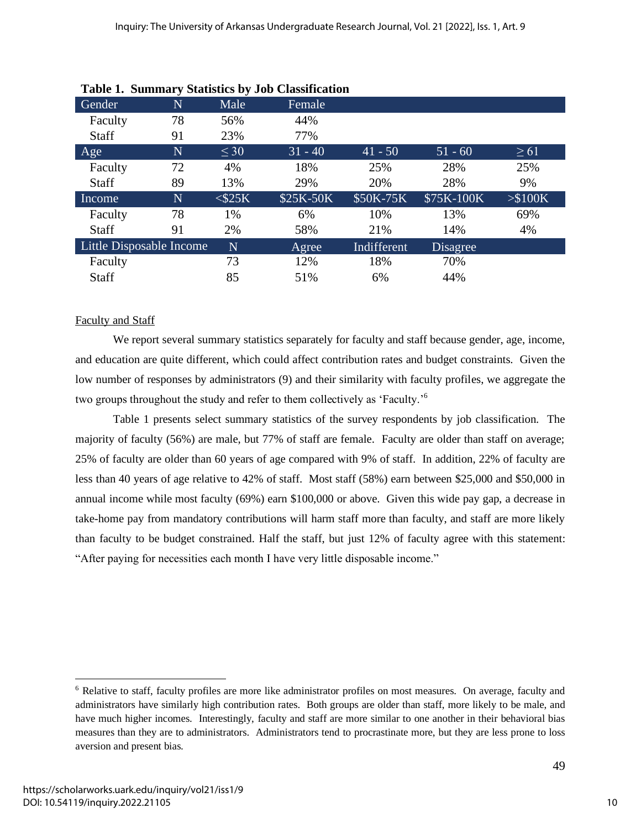|                          |             |              | Tubic 1. Dummur y Diamones by 000 Chassineation |             |            |           |
|--------------------------|-------------|--------------|-------------------------------------------------|-------------|------------|-----------|
| Gender                   | $\mathbf N$ | Male         | Female                                          |             |            |           |
| Faculty                  | 78          | 56%          | 44%                                             |             |            |           |
| <b>Staff</b>             | 91          | 23%          | 77%                                             |             |            |           |
| Age                      | $\mathbf N$ | $\leq 30$    | $31 - 40$                                       | $ 41 - 50 $ | $51 - 60$  | $\geq 61$ |
| Faculty                  | 72          | 4%           | 18%                                             | 25%         | 28%        | 25%       |
| <b>Staff</b>             | 89          | 13%          | 29%                                             | 20%         | 28%        | 9%        |
| Income                   | N           | $<$ \$25 $K$ | \$25K-50K                                       | \$50K-75K   | \$75K-100K | > \$100K  |
| Faculty                  | 78          | 1%           | 6%                                              | 10%         | 13%        | 69%       |
| <b>Staff</b>             | 91          | 2%           | 58%                                             | 21%         | 14%        | 4%        |
| Little Disposable Income |             | N            | Agree                                           | Indifferent | Disagree   |           |
| Faculty                  |             | 73           | 12%                                             | 18%         | 70%        |           |
| Staff                    |             | 85           | 51%                                             | 6%          | 44%        |           |

#### Faculty and Staff

We report several summary statistics separately for faculty and staff because gender, age, income, and education are quite different, which could affect contribution rates and budget constraints. Given the low number of responses by administrators (9) and their similarity with faculty profiles, we aggregate the two groups throughout the study and refer to them collectively as 'Faculty.'<sup>6</sup>

Table 1 presents select summary statistics of the survey respondents by job classification. The majority of faculty (56%) are male, but 77% of staff are female. Faculty are older than staff on average; 25% of faculty are older than 60 years of age compared with 9% of staff. In addition, 22% of faculty are less than 40 years of age relative to 42% of staff. Most staff (58%) earn between \$25,000 and \$50,000 in annual income while most faculty (69%) earn \$100,000 or above. Given this wide pay gap, a decrease in take-home pay from mandatory contributions will harm staff more than faculty, and staff are more likely than faculty to be budget constrained. Half the staff, but just 12% of faculty agree with this statement: "After paying for necessities each month I have very little disposable income."

<sup>6</sup> Relative to staff, faculty profiles are more like administrator profiles on most measures. On average, faculty and administrators have similarly high contribution rates. Both groups are older than staff, more likely to be male, and have much higher incomes. Interestingly, faculty and staff are more similar to one another in their behavioral bias measures than they are to administrators. Administrators tend to procrastinate more, but they are less prone to loss aversion and present bias.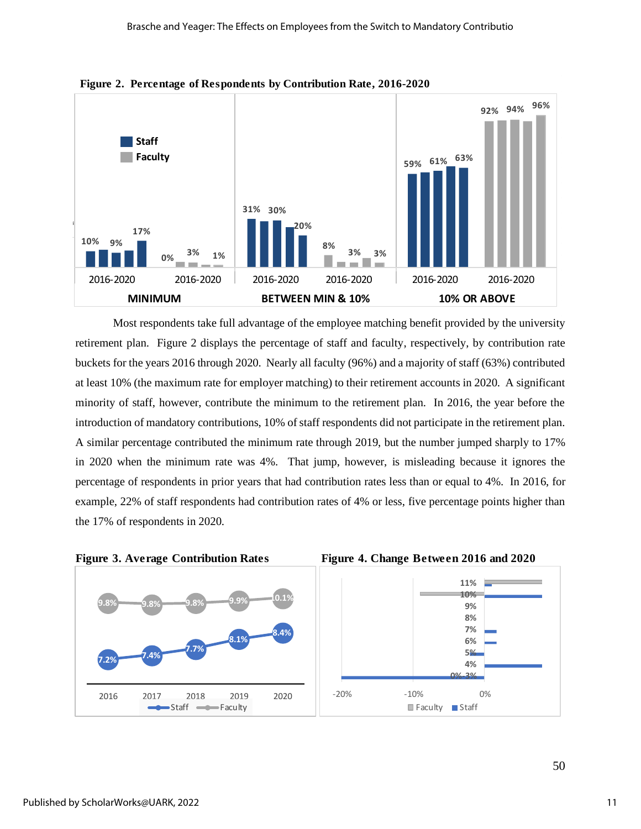

**Figure 2. Percentage of Respondents by Contribution Rate, 2016-2020**

Most respondents take full advantage of the employee matching benefit provided by the university retirement plan. Figure 2 displays the percentage of staff and faculty, respectively, by contribution rate buckets for the years 2016 through 2020. Nearly all faculty (96%) and a majority of staff (63%) contributed at least 10% (the maximum rate for employer matching) to their retirement accounts in 2020. A significant minority of staff, however, contribute the minimum to the retirement plan. In 2016, the year before the introduction of mandatory contributions, 10% of staff respondents did not participate in the retirement plan. A similar percentage contributed the minimum rate through 2019, but the number jumped sharply to 17% in 2020 when the minimum rate was 4%. That jump, however, is misleading because it ignores the percentage of respondents in prior years that had contribution rates less than or equal to 4%. In 2016, for example, 22% of staff respondents had contribution rates of 4% or less, five percentage points higher than the 17% of respondents in 2020. **Figure 3. Average Contribution Rates Figure 4. Change Between 2016 and 2020**<br>**Figure 3. Average Contribution Rates Figure 4. Change Between 2016 and 2020** 



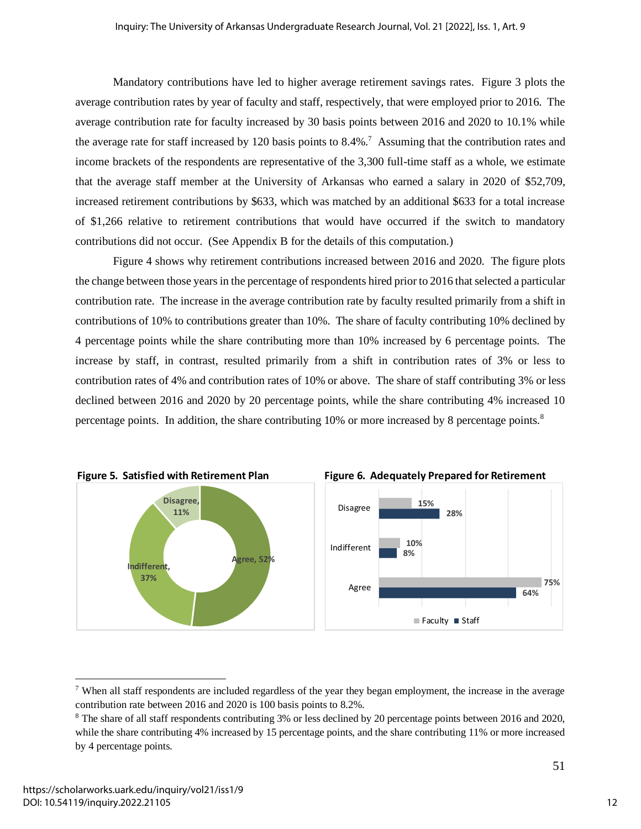Mandatory contributions have led to higher average retirement savings rates. Figure 3 plots the average contribution rates by year of faculty and staff, respectively, that were employed prior to 2016. The average contribution rate for faculty increased by 30 basis points between 2016 and 2020 to 10.1% while the average rate for staff increased by 120 basis points to 8.4%.<sup>7</sup> Assuming that the contribution rates and income brackets of the respondents are representative of the 3,300 full-time staff as a whole, we estimate that the average staff member at the University of Arkansas who earned a salary in 2020 of \$52,709, increased retirement contributions by \$633, which was matched by an additional \$633 for a total increase of \$1,266 relative to retirement contributions that would have occurred if the switch to mandatory contributions did not occur. (See Appendix B for the details of this computation.)

Figure 4 shows why retirement contributions increased between 2016 and 2020. The figure plots the change between those years in the percentage of respondents hired prior to 2016 that selected a particular contribution rate. The increase in the average contribution rate by faculty resulted primarily from a shift in contributions of 10% to contributions greater than 10%. The share of faculty contributing 10% declined by 4 percentage points while the share contributing more than 10% increased by 6 percentage points. The increase by staff, in contrast, resulted primarily from a shift in contribution rates of 3% or less to contribution rates of 4% and contribution rates of 10% or above. The share of staff contributing 3% or less declined between 2016 and 2020 by 20 percentage points, while the share contributing 4% increased 10 percentage points. In addition, the share contributing 10% or more increased by 8 percentage points.<sup>8</sup>



<sup>7</sup> When all staff respondents are included regardless of the year they began employment, the increase in the average contribution rate between 2016 and 2020 is 100 basis points to 8.2%.

<sup>8</sup> The share of all staff respondents contributing 3% or less declined by 20 percentage points between 2016 and 2020, while the share contributing 4% increased by 15 percentage points, and the share contributing 11% or more increased by 4 percentage points.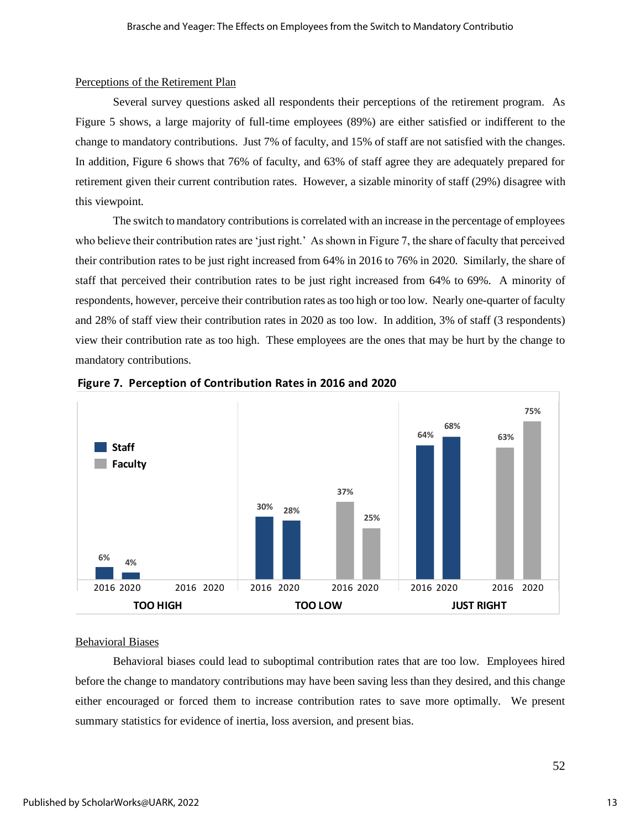#### Perceptions of the Retirement Plan

Several survey questions asked all respondents their perceptions of the retirement program. As Figure 5 shows, a large majority of full-time employees (89%) are either satisfied or indifferent to the change to mandatory contributions. Just 7% of faculty, and 15% of staff are not satisfied with the changes. In addition, Figure 6 shows that 76% of faculty, and 63% of staff agree they are adequately prepared for retirement given their current contribution rates. However, a sizable minority of staff (29%) disagree with this viewpoint.

The switch to mandatory contributions is correlated with an increase in the percentage of employees who believe their contribution rates are 'just right.' As shown in Figure 7, the share of faculty that perceived their contribution rates to be just right increased from 64% in 2016 to 76% in 2020. Similarly, the share of staff that perceived their contribution rates to be just right increased from 64% to 69%. A minority of respondents, however, perceive their contribution rates as too high or too low. Nearly one-quarter of faculty and 28% of staff view their contribution rates in 2020 as too low. In addition, 3% of staff (3 respondents) view their contribution rate as too high. These employees are the ones that may be hurt by the change to mandatory contributions.





#### Behavioral Biases

Behavioral biases could lead to suboptimal contribution rates that are too low. Employees hired before the change to mandatory contributions may have been saving less than they desired, and this change either encouraged or forced them to increase contribution rates to save more optimally. We present summary statistics for evidence of inertia, loss aversion, and present bias.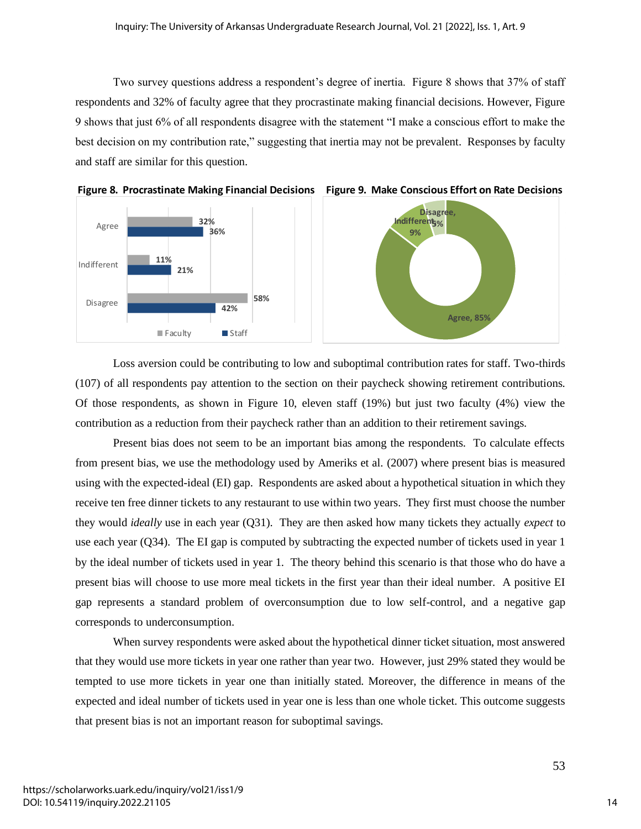Two survey questions address a respondent's degree of inertia. Figure 8 shows that 37% of staff respondents and 32% of faculty agree that they procrastinate making financial decisions. However, Figure 9 shows that just 6% of all respondents disagree with the statement "I make a conscious effort to make the best decision on my contribution rate," suggesting that inertia may not be prevalent. Responses by faculty and staff are similar for this question.





Loss aversion could be contributing to low and suboptimal contribution rates for staff. Two-thirds (107) of all respondents pay attention to the section on their paycheck showing retirement contributions. Of those respondents, as shown in Figure 10, eleven staff (19%) but just two faculty (4%) view the contribution as a reduction from their paycheck rather than an addition to their retirement savings.

Present bias does not seem to be an important bias among the respondents. To calculate effects from present bias, we use the methodology used by Ameriks et al. (2007) where present bias is measured using with the expected-ideal (EI) gap. Respondents are asked about a hypothetical situation in which they receive ten free dinner tickets to any restaurant to use within two years. They first must choose the number they would *ideally* use in each year (Q31). They are then asked how many tickets they actually *expect* to use each year (Q34). The EI gap is computed by subtracting the expected number of tickets used in year 1 by the ideal number of tickets used in year 1. The theory behind this scenario is that those who do have a present bias will choose to use more meal tickets in the first year than their ideal number. A positive EI gap represents a standard problem of overconsumption due to low self-control, and a negative gap corresponds to underconsumption.

When survey respondents were asked about the hypothetical dinner ticket situation, most answered that they would use more tickets in year one rather than year two. However, just 29% stated they would be tempted to use more tickets in year one than initially stated. Moreover, the difference in means of the expected and ideal number of tickets used in year one is less than one whole ticket. This outcome suggests that present bias is not an important reason for suboptimal savings.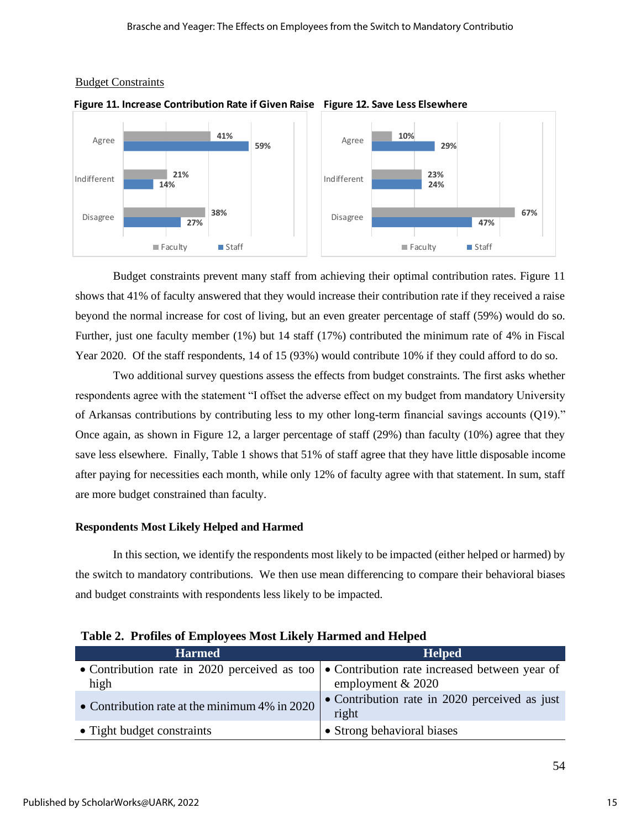

#### Budget Constraints



Budget constraints prevent many staff from achieving their optimal contribution rates. Figure 11 shows that 41% of faculty answered that they would increase their contribution rate if they received a raise beyond the normal increase for cost of living, but an even greater percentage of staff (59%) would do so. Further, just one faculty member (1%) but 14 staff (17%) contributed the minimum rate of 4% in Fiscal Year 2020. Of the staff respondents, 14 of 15 (93%) would contribute 10% if they could afford to do so.

Two additional survey questions assess the effects from budget constraints. The first asks whether respondents agree with the statement "I offset the adverse effect on my budget from mandatory University of Arkansas contributions by contributing less to my other long-term financial savings accounts (Q19)." Once again, as shown in Figure 12, a larger percentage of staff (29%) than faculty (10%) agree that they save less elsewhere. Finally, Table 1 shows that 51% of staff agree that they have little disposable income after paying for necessities each month, while only 12% of faculty agree with that statement. In sum, staff are more budget constrained than faculty.

## **Respondents Most Likely Helped and Harmed**

In this section, we identify the respondents most likely to be impacted (either helped or harmed) by the switch to mandatory contributions. We then use mean differencing to compare their behavioral biases and budget constraints with respondents less likely to be impacted.

| <b>Harmed</b>                                    | <b>Helped</b>                                                                                                             |
|--------------------------------------------------|---------------------------------------------------------------------------------------------------------------------------|
| high                                             | • Contribution rate in 2020 perceived as too $\bullet$ Contribution rate increased between year of<br>employment $& 2020$ |
| • Contribution rate at the minimum $4\%$ in 2020 | • Contribution rate in 2020 perceived as just<br>right                                                                    |
| • Tight budget constraints                       | • Strong behavioral biases                                                                                                |

|  |  |  | Table 2. Profiles of Employees Most Likely Harmed and Helped |  |
|--|--|--|--------------------------------------------------------------|--|
|--|--|--|--------------------------------------------------------------|--|

54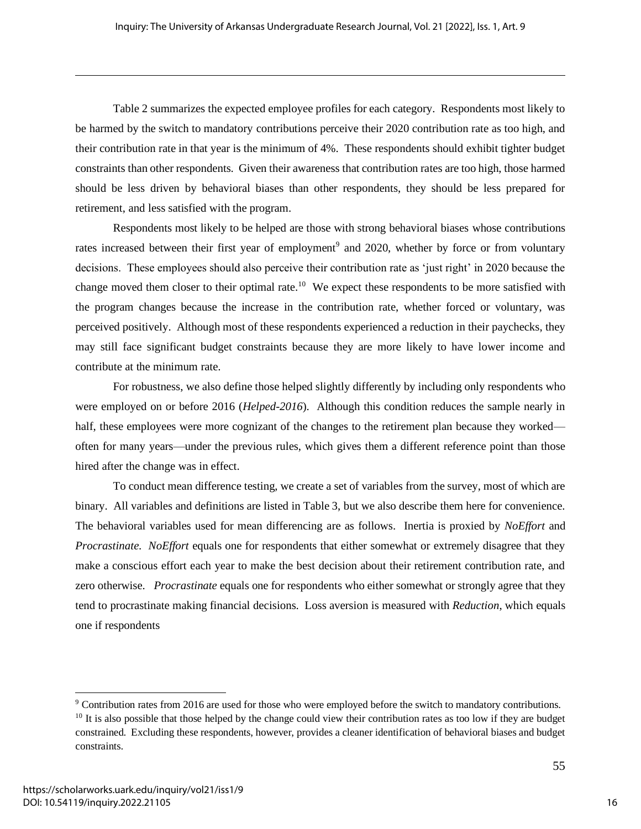Table 2 summarizes the expected employee profiles for each category. Respondents most likely to be harmed by the switch to mandatory contributions perceive their 2020 contribution rate as too high, and their contribution rate in that year is the minimum of 4%. These respondents should exhibit tighter budget constraints than other respondents. Given their awareness that contribution rates are too high, those harmed should be less driven by behavioral biases than other respondents, they should be less prepared for retirement, and less satisfied with the program.

Respondents most likely to be helped are those with strong behavioral biases whose contributions rates increased between their first year of employment<sup>9</sup> and 2020, whether by force or from voluntary decisions. These employees should also perceive their contribution rate as 'just right' in 2020 because the change moved them closer to their optimal rate.<sup>10</sup> We expect these respondents to be more satisfied with the program changes because the increase in the contribution rate, whether forced or voluntary, was perceived positively. Although most of these respondents experienced a reduction in their paychecks, they may still face significant budget constraints because they are more likely to have lower income and contribute at the minimum rate.

For robustness, we also define those helped slightly differently by including only respondents who were employed on or before 2016 (*Helped-2016*). Although this condition reduces the sample nearly in half, these employees were more cognizant of the changes to the retirement plan because they worked often for many years—under the previous rules, which gives them a different reference point than those hired after the change was in effect.

To conduct mean difference testing, we create a set of variables from the survey, most of which are binary. All variables and definitions are listed in Table 3, but we also describe them here for convenience. The behavioral variables used for mean differencing are as follows. Inertia is proxied by *NoEffort* and *Procrastinate*. *NoEffort* equals one for respondents that either somewhat or extremely disagree that they make a conscious effort each year to make the best decision about their retirement contribution rate, and zero otherwise. *Procrastinate* equals one for respondents who either somewhat or strongly agree that they tend to procrastinate making financial decisions. Loss aversion is measured with *Reduction*, which equals one if respondents

<sup>9</sup> Contribution rates from 2016 are used for those who were employed before the switch to mandatory contributions.  $10$  It is also possible that those helped by the change could view their contribution rates as too low if they are budget constrained. Excluding these respondents, however, provides a cleaner identification of behavioral biases and budget constraints.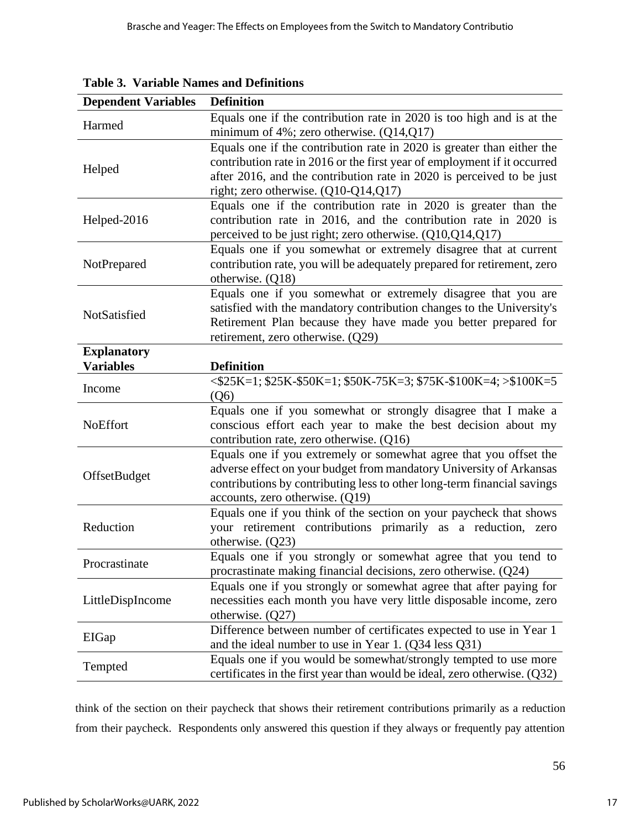| <b>Dependent Variables</b>             | <b>Definition</b>                                                                                                                                                                                                                                                     |
|----------------------------------------|-----------------------------------------------------------------------------------------------------------------------------------------------------------------------------------------------------------------------------------------------------------------------|
| Harmed                                 | Equals one if the contribution rate in 2020 is too high and is at the<br>minimum of $4\%$ ; zero otherwise. (Q14,Q17)                                                                                                                                                 |
| Helped                                 | Equals one if the contribution rate in 2020 is greater than either the<br>contribution rate in 2016 or the first year of employment if it occurred<br>after 2016, and the contribution rate in 2020 is perceived to be just<br>right; zero otherwise. $(Q10-Q14,Q17)$ |
| Helped-2016                            | Equals one if the contribution rate in 2020 is greater than the<br>contribution rate in 2016, and the contribution rate in 2020 is<br>perceived to be just right; zero otherwise. (Q10,Q14,Q17)                                                                       |
| NotPrepared                            | Equals one if you somewhat or extremely disagree that at current<br>contribution rate, you will be adequately prepared for retirement, zero<br>otherwise. (Q18)                                                                                                       |
| NotSatisfied                           | Equals one if you somewhat or extremely disagree that you are<br>satisfied with the mandatory contribution changes to the University's<br>Retirement Plan because they have made you better prepared for<br>retirement, zero otherwise. (Q29)                         |
| <b>Explanatory</b><br><b>Variables</b> | <b>Definition</b>                                                                                                                                                                                                                                                     |
| Income                                 | $\langle $25K=1; $25K-$50K=1; $50K-75K=3; $75K-$100K=4; >$100K=5$<br>(Q6)                                                                                                                                                                                             |
| <b>NoEffort</b>                        | Equals one if you somewhat or strongly disagree that I make a<br>conscious effort each year to make the best decision about my<br>contribution rate, zero otherwise. (Q16)                                                                                            |
| OffsetBudget                           | Equals one if you extremely or somewhat agree that you offset the<br>adverse effect on your budget from mandatory University of Arkansas<br>contributions by contributing less to other long-term financial savings<br>accounts, zero otherwise. (Q19)                |
| Reduction                              | Equals one if you think of the section on your paycheck that shows<br>your retirement contributions primarily as a reduction, zero<br>otherwise. $(Q23)$                                                                                                              |
| Procrastinate                          | Equals one if you strongly or somewhat agree that you tend to<br>procrastinate making financial decisions, zero otherwise. (Q24)                                                                                                                                      |
| LittleDispIncome                       | Equals one if you strongly or somewhat agree that after paying for<br>necessities each month you have very little disposable income, zero<br>otherwise. $(Q27)$                                                                                                       |
| EIGap                                  | Difference between number of certificates expected to use in Year 1<br>and the ideal number to use in Year 1. (Q34 less Q31)                                                                                                                                          |
| Tempted                                | Equals one if you would be somewhat/strongly tempted to use more<br>certificates in the first year than would be ideal, zero otherwise. $(Q32)$                                                                                                                       |

**Table 3. Variable Names and Definitions**

think of the section on their paycheck that shows their retirement contributions primarily as a reduction from their paycheck. Respondents only answered this question if they always or frequently pay attention

56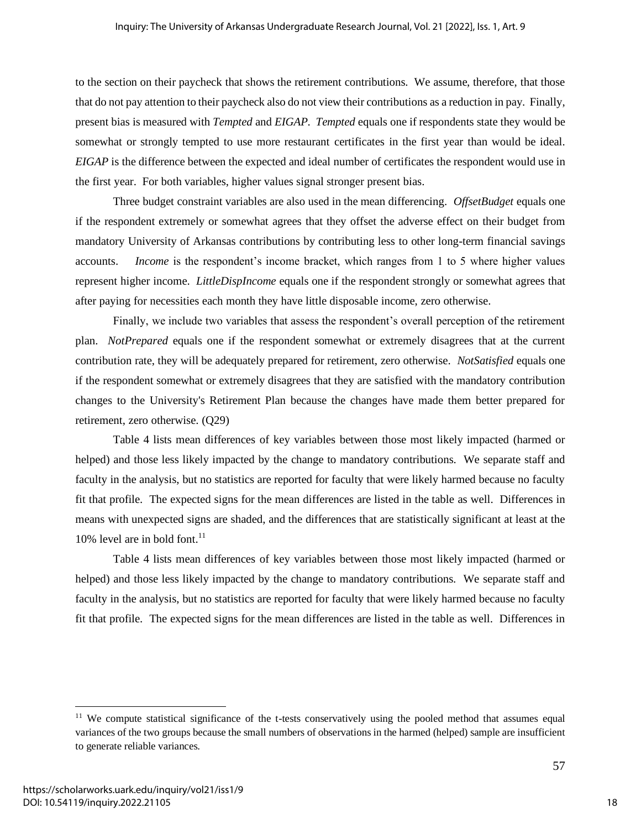to the section on their paycheck that shows the retirement contributions. We assume, therefore, that those that do not pay attention to their paycheck also do not view their contributions as a reduction in pay. Finally, present bias is measured with *Tempted* and *EIGAP*. *Tempted* equals one if respondents state they would be somewhat or strongly tempted to use more restaurant certificates in the first year than would be ideal. *EIGAP* is the difference between the expected and ideal number of certificates the respondent would use in the first year. For both variables, higher values signal stronger present bias.

Three budget constraint variables are also used in the mean differencing. *OffsetBudget* equals one if the respondent extremely or somewhat agrees that they offset the adverse effect on their budget from mandatory University of Arkansas contributions by contributing less to other long-term financial savings accounts. *Income* is the respondent's income bracket, which ranges from 1 to 5 where higher values represent higher income. *LittleDispIncome* equals one if the respondent strongly or somewhat agrees that after paying for necessities each month they have little disposable income, zero otherwise.

Finally, we include two variables that assess the respondent's overall perception of the retirement plan. *NotPrepared* equals one if the respondent somewhat or extremely disagrees that at the current contribution rate, they will be adequately prepared for retirement, zero otherwise. *NotSatisfied* equals one if the respondent somewhat or extremely disagrees that they are satisfied with the mandatory contribution changes to the University's Retirement Plan because the changes have made them better prepared for retirement, zero otherwise. (Q29)

Table 4 lists mean differences of key variables between those most likely impacted (harmed or helped) and those less likely impacted by the change to mandatory contributions. We separate staff and faculty in the analysis, but no statistics are reported for faculty that were likely harmed because no faculty fit that profile. The expected signs for the mean differences are listed in the table as well. Differences in means with unexpected signs are shaded, and the differences that are statistically significant at least at the 10% level are in bold font. $11$ 

Table 4 lists mean differences of key variables between those most likely impacted (harmed or helped) and those less likely impacted by the change to mandatory contributions. We separate staff and faculty in the analysis, but no statistics are reported for faculty that were likely harmed because no faculty fit that profile. The expected signs for the mean differences are listed in the table as well. Differences in

<sup>&</sup>lt;sup>11</sup> We compute statistical significance of the t-tests conservatively using the pooled method that assumes equal variances of the two groups because the small numbers of observations in the harmed (helped) sample are insufficient to generate reliable variances.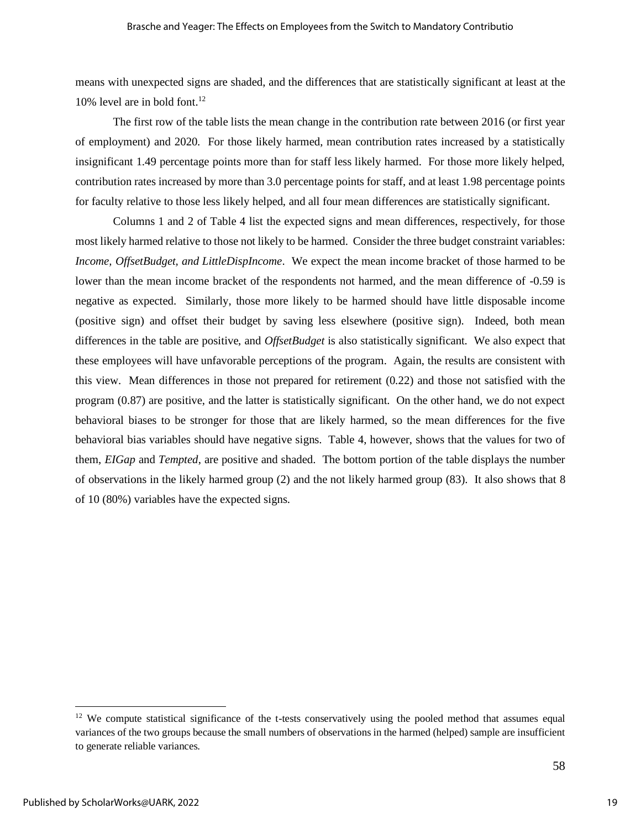means with unexpected signs are shaded, and the differences that are statistically significant at least at the 10% level are in bold font.<sup>12</sup>

The first row of the table lists the mean change in the contribution rate between 2016 (or first year of employment) and 2020. For those likely harmed, mean contribution rates increased by a statistically insignificant 1.49 percentage points more than for staff less likely harmed. For those more likely helped, contribution rates increased by more than 3.0 percentage points for staff, and at least 1.98 percentage points for faculty relative to those less likely helped, and all four mean differences are statistically significant.

Columns 1 and 2 of Table 4 list the expected signs and mean differences, respectively, for those most likely harmed relative to those not likely to be harmed. Consider the three budget constraint variables: *Income, OffsetBudget, and LittleDispIncome*. We expect the mean income bracket of those harmed to be lower than the mean income bracket of the respondents not harmed, and the mean difference of -0.59 is negative as expected. Similarly, those more likely to be harmed should have little disposable income (positive sign) and offset their budget by saving less elsewhere (positive sign). Indeed, both mean differences in the table are positive, and *OffsetBudget* is also statistically significant. We also expect that these employees will have unfavorable perceptions of the program. Again, the results are consistent with this view. Mean differences in those not prepared for retirement (0.22) and those not satisfied with the program (0.87) are positive, and the latter is statistically significant. On the other hand, we do not expect behavioral biases to be stronger for those that are likely harmed, so the mean differences for the five behavioral bias variables should have negative signs. Table 4, however, shows that the values for two of them, *EIGap* and *Tempted*, are positive and shaded. The bottom portion of the table displays the number of observations in the likely harmed group (2) and the not likely harmed group (83). It also shows that 8 of 10 (80%) variables have the expected signs.

<sup>&</sup>lt;sup>12</sup> We compute statistical significance of the t-tests conservatively using the pooled method that assumes equal variances of the two groups because the small numbers of observations in the harmed (helped) sample are insufficient to generate reliable variances.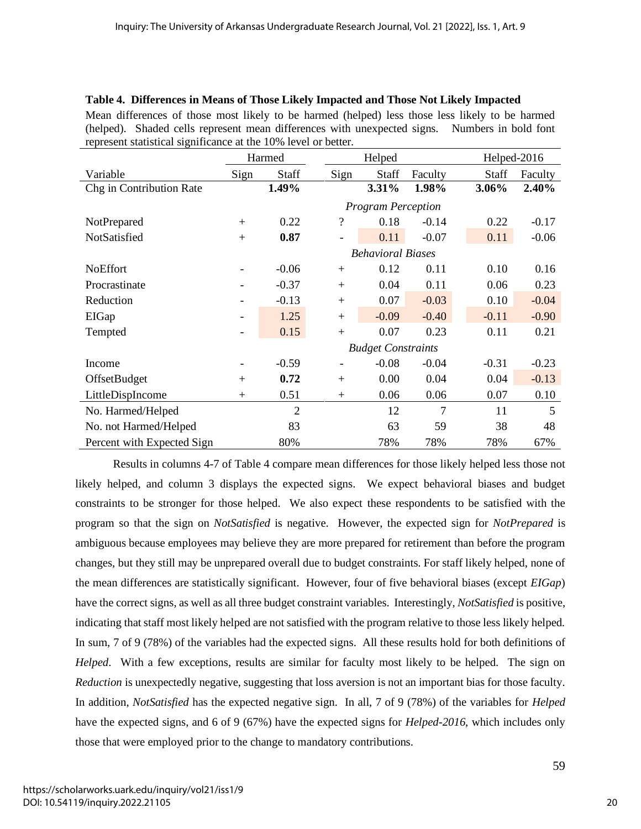| Table 4. Differences in Means of Those Likely Impacted and Those Not Likely Impacted                                                                            |      |        |      |        |               |               |
|-----------------------------------------------------------------------------------------------------------------------------------------------------------------|------|--------|------|--------|---------------|---------------|
| Mean differences of those most likely to be harmed (helped) less those less likely to be harmed                                                                 |      |        |      |        |               |               |
| (helped). Shaded cells represent mean differences with unexpected signs. Numbers in bold font<br>represent statistical significance at the 10% level or better. |      |        |      |        |               |               |
|                                                                                                                                                                 |      | Harmed |      | Helped |               | Helped-2016   |
| Variable                                                                                                                                                        | Sign | Staff  | Sign |        | Staff Faculty | Staff Faculty |

Chg in Contribution Rate **1.49% 3.31% 1.98% 3.06% 2.40%**

NotPrepared + 0.22 ? 0.18 -0.14 0.22 -0.17

*Program Perception*

| NotSatisfied               | $+$                      | 0.87           |     | 0.11                      | $-0.07$ | 0.11    | $-0.06$ |
|----------------------------|--------------------------|----------------|-----|---------------------------|---------|---------|---------|
|                            |                          |                |     | <b>Behavioral Biases</b>  |         |         |         |
| <b>NoEffort</b>            |                          | $-0.06$        | $+$ | 0.12                      | 0.11    | 0.10    | 0.16    |
| Procrastinate              |                          | $-0.37$        | $+$ | 0.04                      | 0.11    | 0.06    | 0.23    |
| Reduction                  |                          | $-0.13$        | $+$ | 0.07                      | $-0.03$ | 0.10    | $-0.04$ |
| EIGap                      | $\overline{\phantom{a}}$ | 1.25           | $+$ | $-0.09$                   | $-0.40$ | $-0.11$ | $-0.90$ |
| Tempted                    | -                        | 0.15           | $+$ | 0.07                      | 0.23    | 0.11    | 0.21    |
|                            |                          |                |     | <b>Budget Constraints</b> |         |         |         |
| Income                     |                          | $-0.59$        | ٠   | $-0.08$                   | $-0.04$ | $-0.31$ | $-0.23$ |
| <b>OffsetBudget</b>        | $+$                      | 0.72           | $+$ | 0.00                      | 0.04    | 0.04    | $-0.13$ |
| LittleDispIncome           | $+$                      | 0.51           | $+$ | 0.06                      | 0.06    | 0.07    | 0.10    |
| No. Harmed/Helped          |                          | $\overline{2}$ |     | 12                        | 7       | 11      | 5       |
| No. not Harmed/Helped      |                          | 83             |     | 63                        | 59      | 38      | 48      |
| Percent with Expected Sign |                          | 80%            |     | 78%                       | 78%     | 78%     | 67%     |

Results in columns 4-7 of Table 4 compare mean differences for those likely helped less those not likely helped, and column 3 displays the expected signs. We expect behavioral biases and budget constraints to be stronger for those helped. We also expect these respondents to be satisfied with the program so that the sign on *NotSatisfied* is negative. However, the expected sign for *NotPrepared* is ambiguous because employees may believe they are more prepared for retirement than before the program changes, but they still may be unprepared overall due to budget constraints. For staff likely helped, none of the mean differences are statistically significant. However, four of five behavioral biases (except *EIGap*) have the correct signs, as well as all three budget constraint variables. Interestingly, *NotSatisfied* is positive, indicating that staff most likely helped are not satisfied with the program relative to those less likely helped. In sum, 7 of 9 (78%) of the variables had the expected signs. All these results hold for both definitions of *Helped*. With a few exceptions, results are similar for faculty most likely to be helped. The sign on *Reduction* is unexpectedly negative, suggesting that loss aversion is not an important bias for those faculty. In addition, *NotSatisfied* has the expected negative sign. In all, 7 of 9 (78%) of the variables for *Helped* have the expected signs, and 6 of 9 (67%) have the expected signs for *Helped-2016*, which includes only those that were employed prior to the change to mandatory contributions.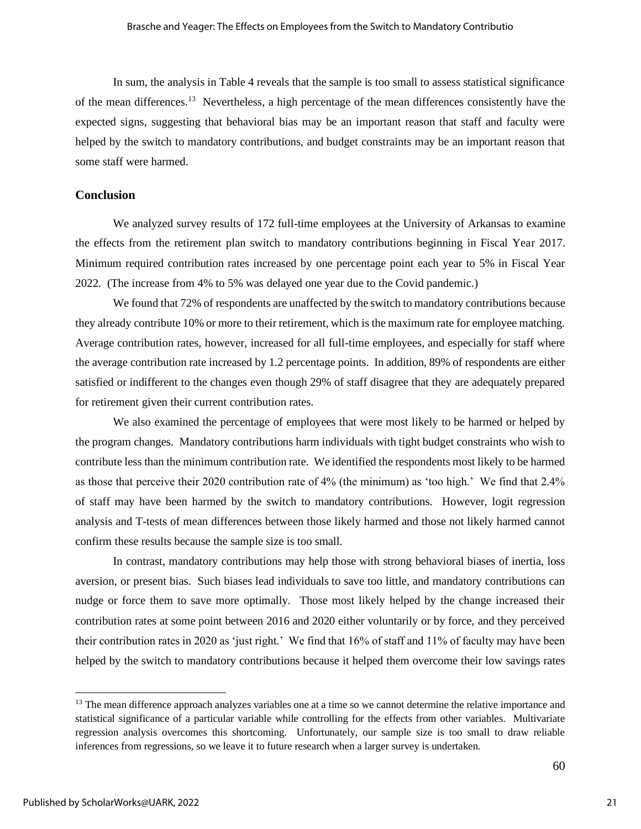In sum, the analysis in Table 4 reveals that the sample is too small to assess statistical significance of the mean differences.<sup>13</sup> Nevertheless, a high percentage of the mean differences consistently have the expected signs, suggesting that behavioral bias may be an important reason that staff and faculty were helped by the switch to mandatory contributions, and budget constraints may be an important reason that some staff were harmed.

#### **Conclusion**

We analyzed survey results of 172 full-time employees at the University of Arkansas to examine the effects from the retirement plan switch to mandatory contributions beginning in Fiscal Year 2017. Minimum required contribution rates increased by one percentage point each year to 5% in Fiscal Year 2022. (The increase from 4% to 5% was delayed one year due to the Covid pandemic.)

We found that 72% of respondents are unaffected by the switch to mandatory contributions because they already contribute 10% or more to their retirement, which is the maximum rate for employee matching. Average contribution rates, however, increased for all full-time employees, and especially for staff where the average contribution rate increased by 1.2 percentage points. In addition, 89% of respondents are either satisfied or indifferent to the changes even though 29% of staff disagree that they are adequately prepared for retirement given their current contribution rates.

We also examined the percentage of employees that were most likely to be harmed or helped by the program changes. Mandatory contributions harm individuals with tight budget constraints who wish to contribute less than the minimum contribution rate. We identified the respondents most likely to be harmed as those that perceive their 2020 contribution rate of 4% (the minimum) as 'too high.' We find that 2.4% of staff may have been harmed by the switch to mandatory contributions. However, logit regression analysis and T-tests of mean differences between those likely harmed and those not likely harmed cannot confirm these results because the sample size is too small.

In contrast, mandatory contributions may help those with strong behavioral biases of inertia, loss aversion, or present bias. Such biases lead individuals to save too little, and mandatory contributions can nudge or force them to save more optimally. Those most likely helped by the change increased their contribution rates at some point between 2016 and 2020 either voluntarily or by force, and they perceived their contribution rates in 2020 as 'just right.' We find that 16% of staff and 11% of faculty may have been helped by the switch to mandatory contributions because it helped them overcome their low savings rates

<sup>&</sup>lt;sup>13</sup> The mean difference approach analyzes variables one at a time so we cannot determine the relative importance and statistical significance of a particular variable while controlling for the effects from other variables. Multivariate regression analysis overcomes this shortcoming. Unfortunately, our sample size is too small to draw reliable inferences from regressions, so we leave it to future research when a larger survey is undertaken.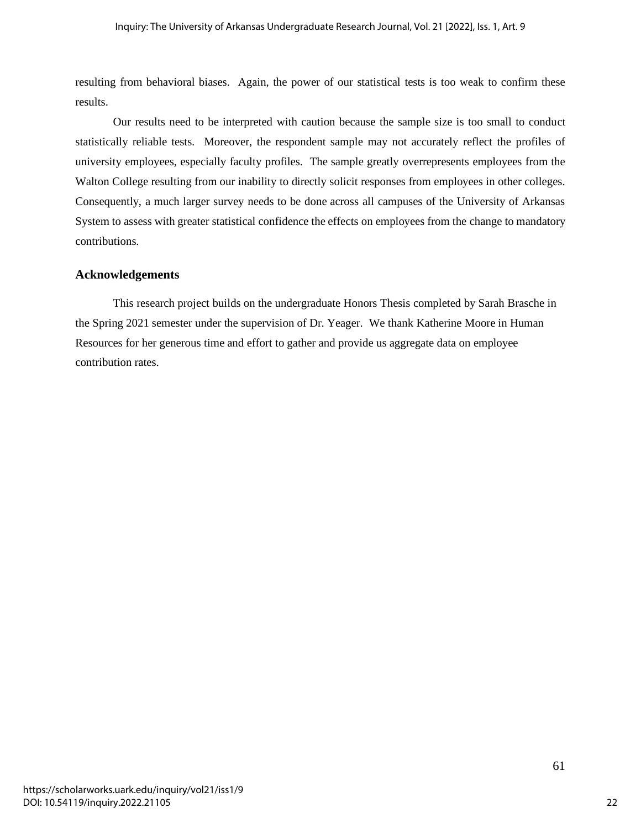resulting from behavioral biases. Again, the power of our statistical tests is too weak to confirm these results.

Our results need to be interpreted with caution because the sample size is too small to conduct statistically reliable tests. Moreover, the respondent sample may not accurately reflect the profiles of university employees, especially faculty profiles. The sample greatly overrepresents employees from the Walton College resulting from our inability to directly solicit responses from employees in other colleges. Consequently, a much larger survey needs to be done across all campuses of the University of Arkansas System to assess with greater statistical confidence the effects on employees from the change to mandatory contributions.

#### **Acknowledgements**

This research project builds on the undergraduate Honors Thesis completed by Sarah Brasche in the Spring 2021 semester under the supervision of Dr. Yeager. We thank Katherine Moore in Human Resources for her generous time and effort to gather and provide us aggregate data on employee contribution rates.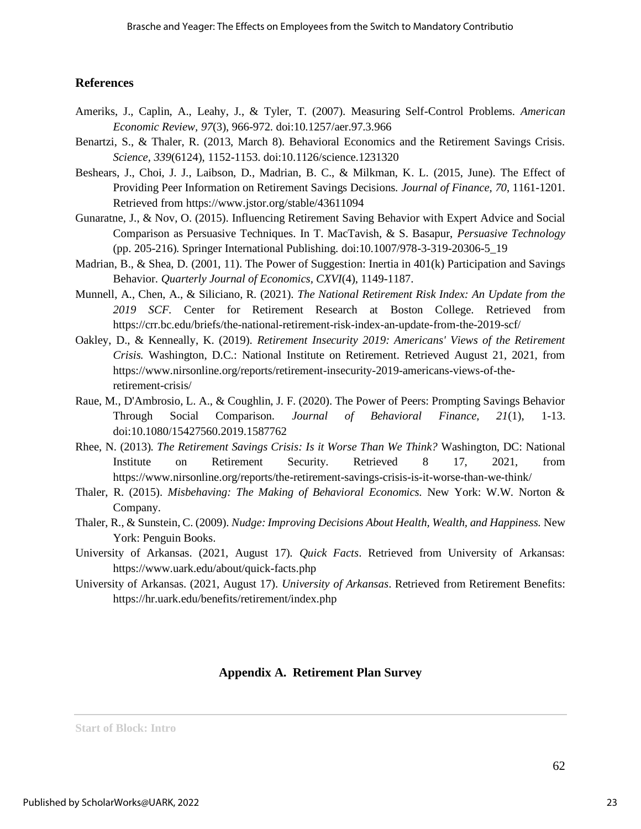### **References**

- Ameriks, J., Caplin, A., Leahy, J., & Tyler, T. (2007). Measuring Self-Control Problems. *American Economic Review, 97*(3), 966-972. doi:10.1257/aer.97.3.966
- Benartzi, S., & Thaler, R. (2013, March 8). Behavioral Economics and the Retirement Savings Crisis. *Science, 339*(6124), 1152-1153. doi:10.1126/science.1231320
- Beshears, J., Choi, J. J., Laibson, D., Madrian, B. C., & Milkman, K. L. (2015, June). The Effect of Providing Peer Information on Retirement Savings Decisions. *Journal of Finance, 70*, 1161-1201. Retrieved from https://www.jstor.org/stable/43611094
- Gunaratne, J., & Nov, O. (2015). Influencing Retirement Saving Behavior with Expert Advice and Social Comparison as Persuasive Techniques. In T. MacTavish, & S. Basapur, *Persuasive Technology* (pp. 205-216). Springer International Publishing. doi:10.1007/978-3-319-20306-5\_19
- Madrian, B., & Shea, D. (2001, 11). The Power of Suggestion: Inertia in 401(k) Participation and Savings Behavior. *Quarterly Journal of Economics, CXVI*(4), 1149-1187.
- Munnell, A., Chen, A., & Siliciano, R. (2021). *The National Retirement Risk Index: An Update from the 2019 SCF.* Center for Retirement Research at Boston College. Retrieved from https://crr.bc.edu/briefs/the-national-retirement-risk-index-an-update-from-the-2019-scf/
- Oakley, D., & Kenneally, K. (2019). *Retirement Insecurity 2019: Americans' Views of the Retirement Crisis.* Washington, D.C.: National Institute on Retirement. Retrieved August 21, 2021, from https://www.nirsonline.org/reports/retirement-insecurity-2019-americans-views-of-theretirement-crisis/
- Raue, M., D'Ambrosio, L. A., & Coughlin, J. F. (2020). The Power of Peers: Prompting Savings Behavior Through Social Comparison. *Journal of Behavioral Finance, 21*(1), 1-13. doi:10.1080/15427560.2019.1587762
- Rhee, N. (2013). *The Retirement Savings Crisis: Is it Worse Than We Think?* Washington, DC: National Institute on Retirement Security. Retrieved 8 17, 2021, from https://www.nirsonline.org/reports/the-retirement-savings-crisis-is-it-worse-than-we-think/
- Thaler, R. (2015). *Misbehaving: The Making of Behavioral Economics.* New York: W.W. Norton & Company.
- Thaler, R., & Sunstein, C. (2009). *Nudge: Improving Decisions About Health, Wealth, and Happiness.* New York: Penguin Books.
- University of Arkansas. (2021, August 17). *Quick Facts*. Retrieved from University of Arkansas: https://www.uark.edu/about/quick-facts.php
- University of Arkansas. (2021, August 17). *University of Arkansas*. Retrieved from Retirement Benefits: https://hr.uark.edu/benefits/retirement/index.php

### **Appendix A. Retirement Plan Survey**

**Start of Block: Intro**

23

62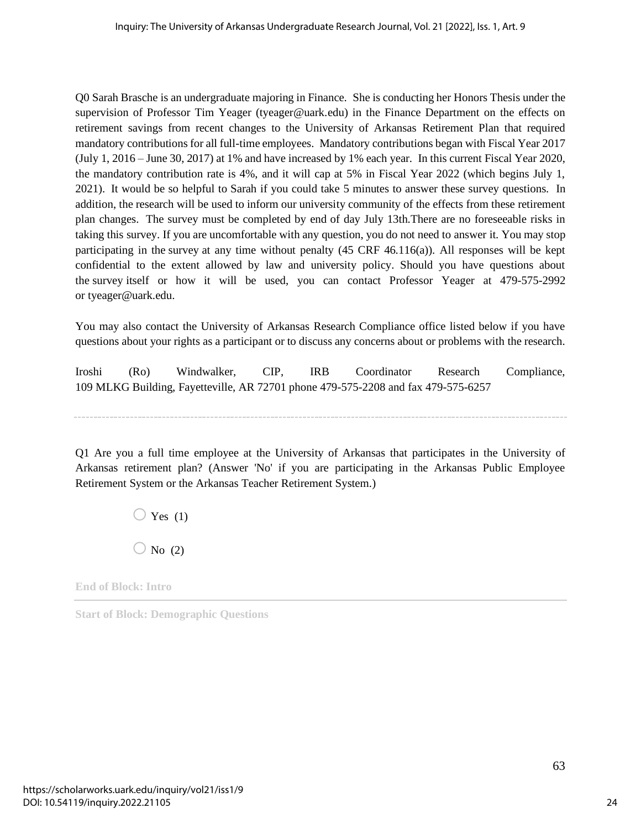Q0 Sarah Brasche is an undergraduate majoring in Finance. She is conducting her Honors Thesis under the supervision of Professor Tim Yeager (tyeager@uark.edu) in the Finance Department on the effects on retirement savings from recent changes to the University of Arkansas Retirement Plan that required mandatory contributions for all full-time employees. Mandatory contributions began with Fiscal Year 2017 (July 1, 2016 – June 30, 2017) at 1% and have increased by 1% each year. In this current Fiscal Year 2020, the mandatory contribution rate is 4%, and it will cap at 5% in Fiscal Year 2022 (which begins July 1, 2021). It would be so helpful to Sarah if you could take 5 minutes to answer these survey questions. In addition, the research will be used to inform our university community of the effects from these retirement plan changes. The survey must be completed by end of day July 13th.There are no foreseeable risks in taking this survey. If you are uncomfortable with any question, you do not need to answer it. You may stop participating in the survey at any time without penalty  $(45 \text{ CRF } 46.116(a))$ . All responses will be kept confidential to the extent allowed by law and university policy. Should you have questions about the survey itself or how it will be used, you can contact Professor Yeager at 479-575-2992 or tyeager@uark.edu.

You may also contact the University of Arkansas Research Compliance office listed below if you have questions about your rights as a participant or to discuss any concerns about or problems with the research.

Iroshi (Ro) Windwalker, CIP, IRB Coordinator Research Compliance, 109 MLKG Building, Fayetteville, AR 72701 phone 479-575-2208 and fax 479-575-6257

Q1 Are you a full time employee at the University of Arkansas that participates in the University of Arkansas retirement plan? (Answer 'No' if you are participating in the Arkansas Public Employee Retirement System or the Arkansas Teacher Retirement System.)

> $\bigcirc$  Yes (1)  $\bigcirc$  No (2)

**End of Block: Intro**

**Start of Block: Demographic Questions**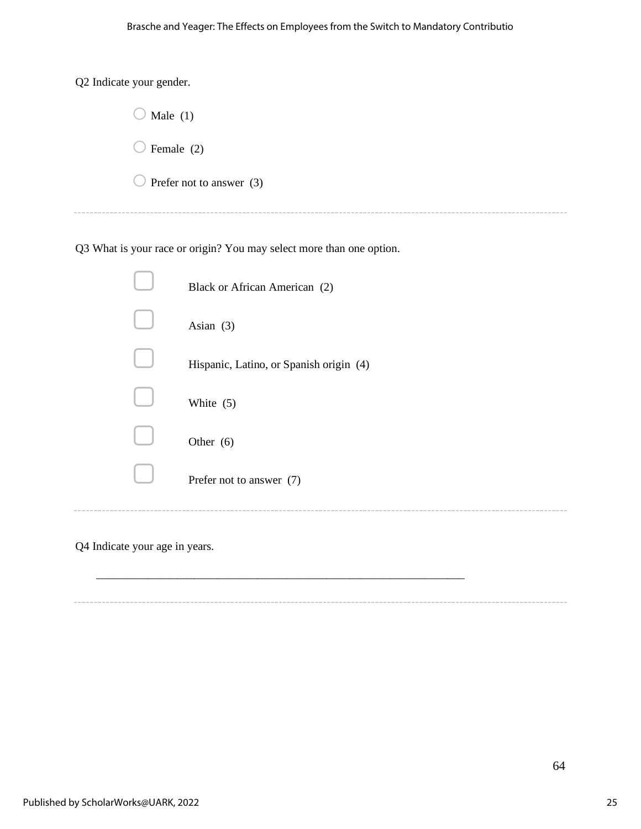Q2 Indicate your gender.

 $\overline{\phantom{a}}$ 

 $- - - -$ 

| $\bigcup$ Male (1)                  |
|-------------------------------------|
| $\bigcup$ Female (2)                |
| $\bigcirc$ Prefer not to answer (3) |
|                                     |

Q3 What is your race or origin? You may select more than one option.

| Black or African American (2)           |
|-----------------------------------------|
| Asian $(3)$                             |
| Hispanic, Latino, or Spanish origin (4) |
| White $(5)$                             |
| Other $(6)$                             |
| Prefer not to answer (7)                |
|                                         |

\_\_\_\_\_\_\_\_\_\_\_\_\_\_\_\_\_\_\_\_\_\_\_\_\_\_\_\_\_\_\_\_\_\_\_\_\_\_\_\_\_\_\_\_\_\_\_\_\_\_\_\_\_\_\_\_\_\_\_\_\_\_\_\_

Q4 Indicate your age in years.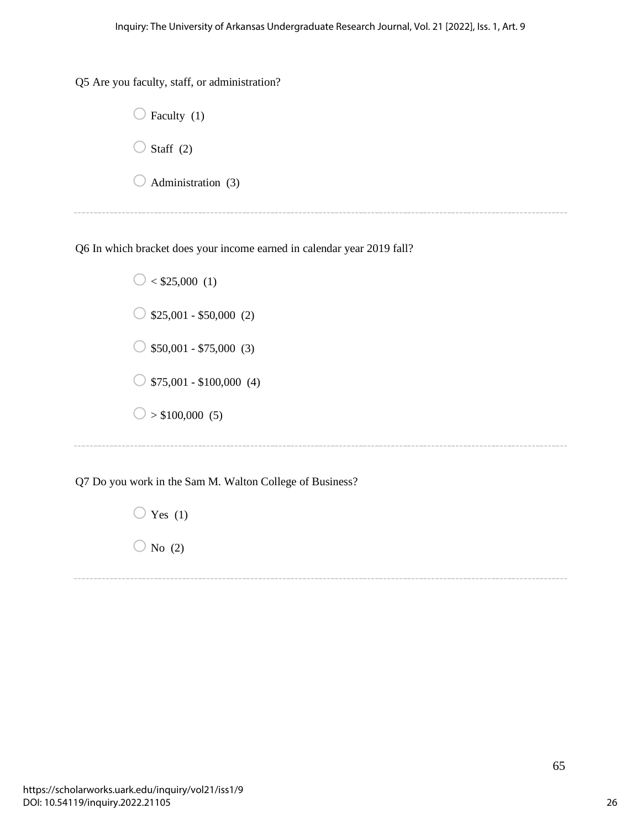Q5 Are you faculty, staff, or administration?



Q6 In which bracket does your income earned in calendar year 2019 fall?

 $\bigcirc$  < \$25,000 (1)  $\bigcirc$  \$25,001 - \$50,000 (2)  $\bigcirc$  \$50,001 - \$75,000 (3)  $\bigcirc$  \$75,001 - \$100,000 (4)  $\bigcirc$  > \$100,000 (5)

Q7 Do you work in the Sam M. Walton College of Business?

 $\bigcirc$  Yes (1)  $\bigcirc$  No (2)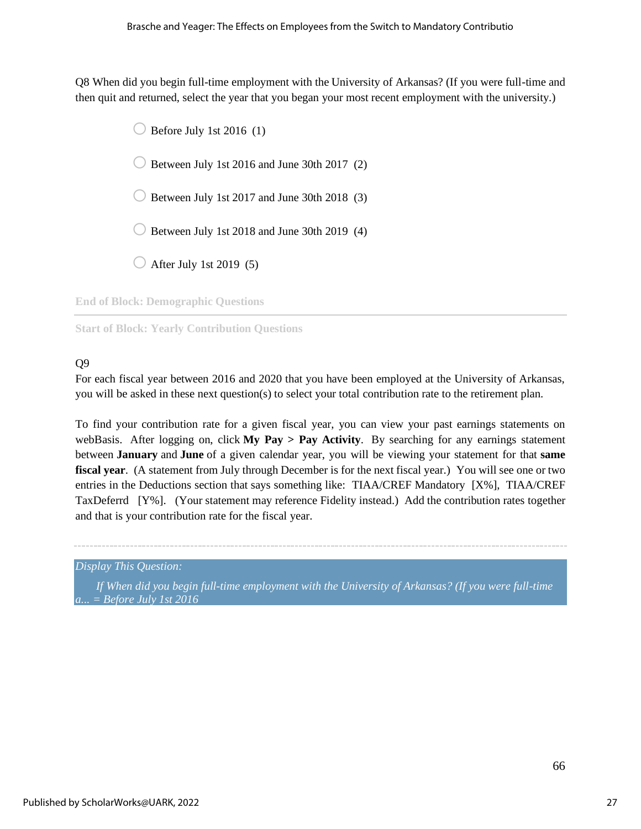Q8 When did you begin full-time employment with the University of Arkansas? (If you were full-time and then quit and returned, select the year that you began your most recent employment with the university.)



**End of Block: Demographic Questions**

**Start of Block: Yearly Contribution Questions**

## Q9

For each fiscal year between 2016 and 2020 that you have been employed at the University of Arkansas, you will be asked in these next question(s) to select your total contribution rate to the retirement plan.

To find your contribution rate for a given fiscal year, you can view your past earnings statements on webBasis. After logging on, click **My Pay > Pay Activity**. By searching for any earnings statement between **January** and **June** of a given calendar year, you will be viewing your statement for that **same fiscal year**. (A statement from July through December is for the next fiscal year.) You will see one or two entries in the Deductions section that says something like: TIAA/CREF Mandatory [X%], TIAA/CREF TaxDeferrd [Y%]. (Your statement may reference Fidelity instead.) Add the contribution rates together and that is your contribution rate for the fiscal year.

*Display This Question:*

*If When did you begin full-time employment with the University of Arkansas? (If you were full-time a... = Before July 1st 2016*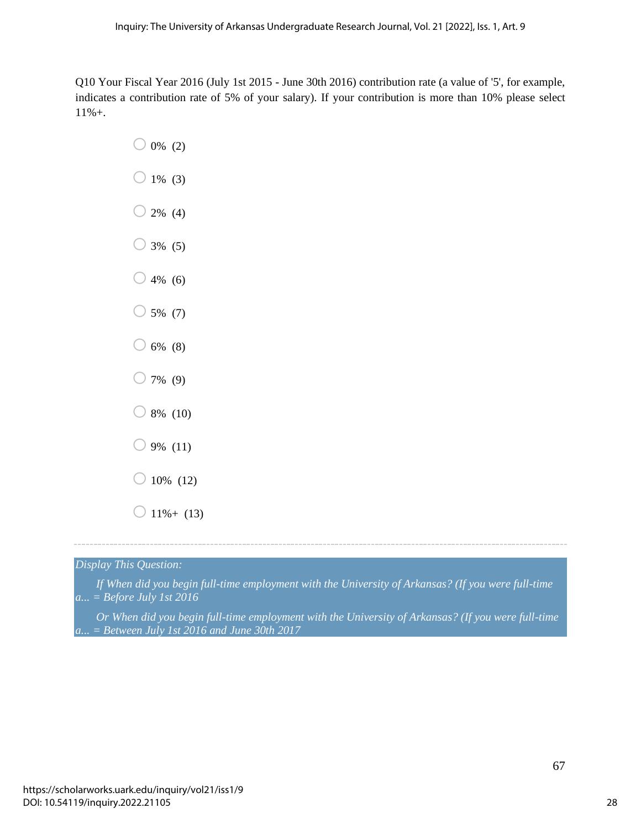Q10 Your Fiscal Year 2016 (July 1st 2015 - June 30th 2016) contribution rate (a value of '5', for example, indicates a contribution rate of 5% of your salary). If your contribution is more than 10% please select 11%+.

- $\bigcirc$  0% (2)  $\bigcirc$  1% (3)  $\bigcirc$  2% (4)  $\bigcirc$  3% (5)  $\bigcirc$  4% (6)  $\bigcirc$  5% (7)  $\bigcirc$  6% (8)  $\bigcirc$  7% (9)  $\bigcirc$  8% (10)  $9\%$  (11)  $\bigcirc$  10% (12)
- $\bigcirc$  11%+ (13)

*Display This Question:*

*If When did you begin full-time employment with the University of Arkansas? (If you were full-time a... = Before July 1st 2016*

*Or When did you begin full-time employment with the University of Arkansas? (If you were full-time a... = Between July 1st 2016 and June 30th 2017*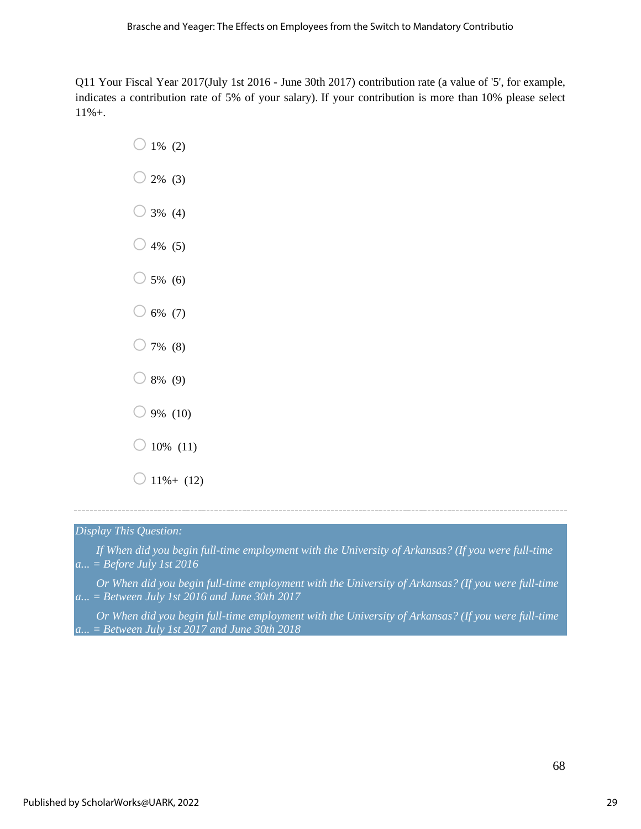Q11 Your Fiscal Year 2017(July 1st 2016 - June 30th 2017) contribution rate (a value of '5', for example, indicates a contribution rate of 5% of your salary). If your contribution is more than 10% please select 11%+.

- $\bigcirc$  1% (2)  $\bigcirc$  2% (3)  $\bigcirc$  3% (4)  $\bigcirc$  4% (5)  $\bigcirc$  5% (6)  $\bigcirc$  6% (7)  $\bigcirc$  7% (8)  $\bigcirc$  8% (9)  $\bigcirc$  9% (10)  $\bigcirc$  10% (11)
- $\bigcirc$  11%+ (12)

### *Display This Question:*

*If When did you begin full-time employment with the University of Arkansas? (If you were full-time a... = Before July 1st 2016*

*Or When did you begin full-time employment with the University of Arkansas? (If you were full-time a... = Between July 1st 2016 and June 30th 2017*

*Or When did you begin full-time employment with the University of Arkansas? (If you were full-time a... = Between July 1st 2017 and June 30th 2018*

68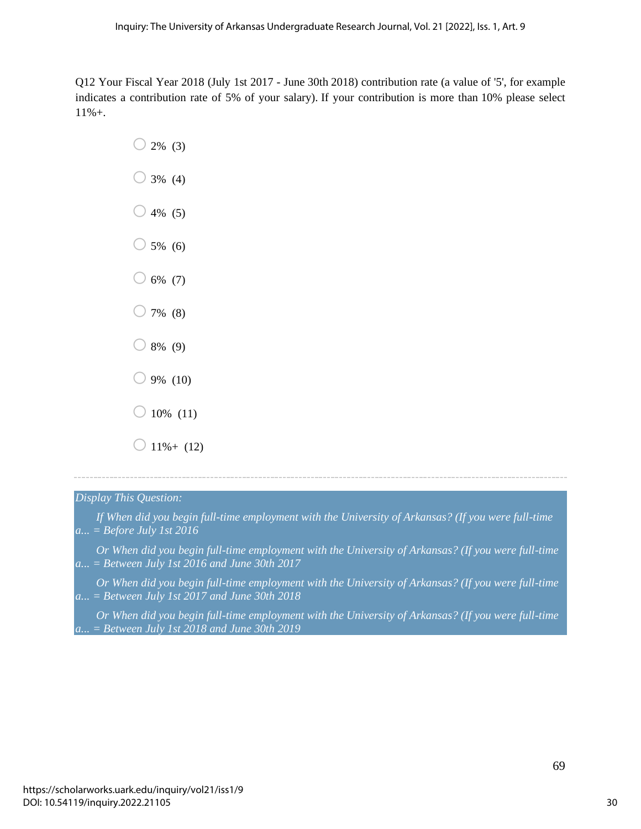Q12 Your Fiscal Year 2018 (July 1st 2017 - June 30th 2018) contribution rate (a value of '5', for example indicates a contribution rate of 5% of your salary). If your contribution is more than 10% please select 11%+.

- $\bigcirc$  2% (3)  $\bigcirc$  3% (4)  $\bigcirc$  4% (5)  $\bigcirc$  5% (6)  $\bigcirc$  6% (7)  $\bigcirc$  7% (8)  $\bigcirc$  8% (9)  $\bigcirc$  9% (10)  $\bigcirc$  10% (11)
- $\bigcirc$  11%+ (12)

#### *Display This Question:*

- *If When did you begin full-time employment with the University of Arkansas? (If you were full-time a... = Before July 1st 2016*
- *Or When did you begin full-time employment with the University of Arkansas? (If you were full-time a... = Between July 1st 2016 and June 30th 2017*
- *Or When did you begin full-time employment with the University of Arkansas? (If you were full-time a... = Between July 1st 2017 and June 30th 2018*

*Or When did you begin full-time employment with the University of Arkansas? (If you were full-time a... = Between July 1st 2018 and June 30th 2019*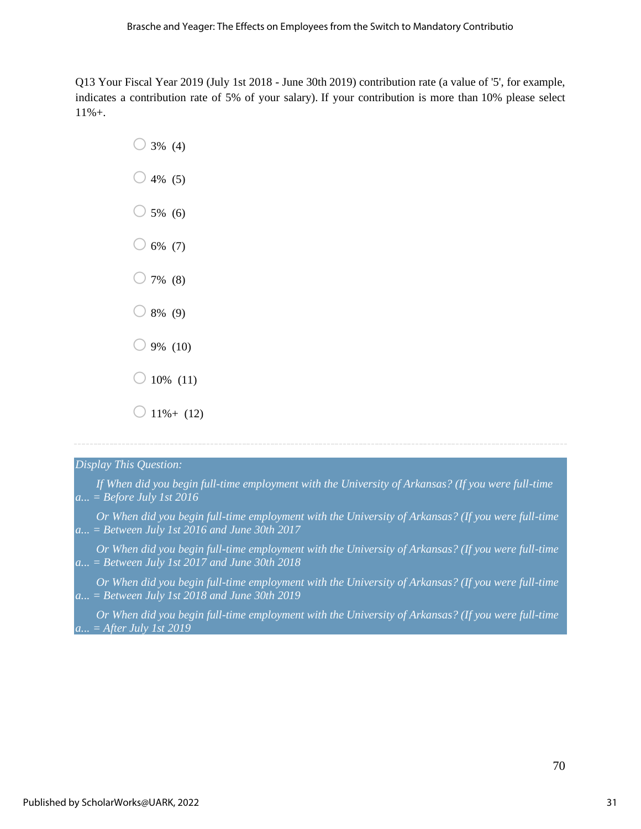Q13 Your Fiscal Year 2019 (July 1st 2018 - June 30th 2019) contribution rate (a value of '5', for example, indicates a contribution rate of 5% of your salary). If your contribution is more than 10% please select 11%+.

- $\bigcirc$  3% (4)  $\bigcirc$  4% (5)  $\bigcirc$  5% (6)  $\bigcirc$  6% (7)  $\bigcirc$  7% (8)  $\bigcirc$  8% (9)  $\bigcirc$  9% (10)  $\bigcirc$  10% (11)
- $\bigcirc$  11%+ (12)

#### *Display This Question:*

- *If When did you begin full-time employment with the University of Arkansas? (If you were full-time a... = Before July 1st 2016*
- *Or When did you begin full-time employment with the University of Arkansas? (If you were full-time a... = Between July 1st 2016 and June 30th 2017*
- *Or When did you begin full-time employment with the University of Arkansas? (If you were full-time a... = Between July 1st 2017 and June 30th 2018*
- *Or When did you begin full-time employment with the University of Arkansas? (If you were full-time a... = Between July 1st 2018 and June 30th 2019*
- *Or When did you begin full-time employment with the University of Arkansas? (If you were full-time a... = After July 1st 2019*

70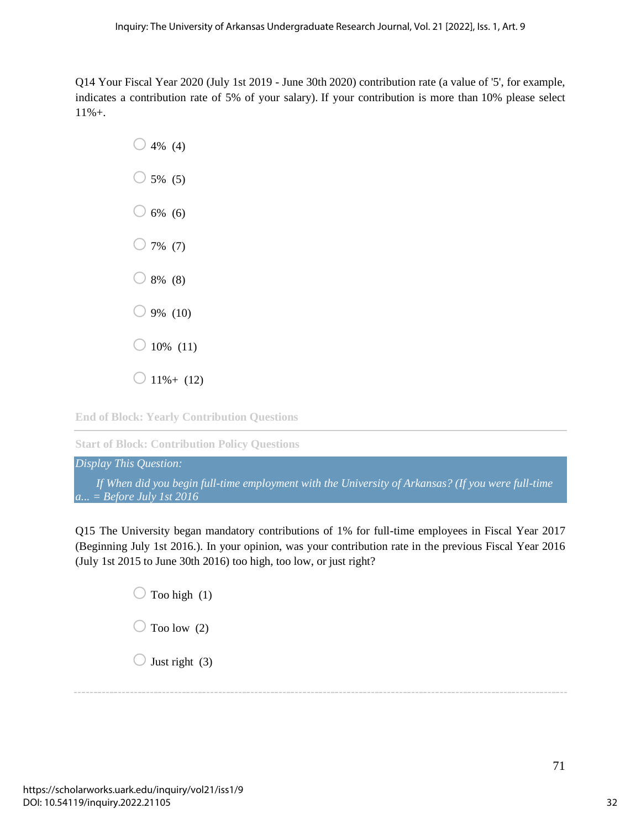Q14 Your Fiscal Year 2020 (July 1st 2019 - June 30th 2020) contribution rate (a value of '5', for example, indicates a contribution rate of 5% of your salary). If your contribution is more than 10% please select 11%+.

> $\bigcirc$  4% (4)  $\bigcirc$  5% (5)  $\bigcirc$  6% (6)  $\bigcirc$  7% (7)  $\bigcirc$  8% (8)  $\bigcirc$  9% (10)  $\bigcirc$  10% (11)  $\bigcirc$  11%+ (12)

**End of Block: Yearly Contribution Questions**

**Start of Block: Contribution Policy Questions**

*Display This Question: If When did you begin full-time employment with the University of Arkansas? (If you were full-time a... = Before July 1st 2016*

Q15 The University began mandatory contributions of 1% for full-time employees in Fiscal Year 2017 (Beginning July 1st 2016.). In your opinion, was your contribution rate in the previous Fiscal Year 2016 (July 1st 2015 to June 30th 2016) too high, too low, or just right?

> $\bigcirc$  Too high (1)  $\bigcirc$  Too low (2)  $\bigcirc$  Just right (3)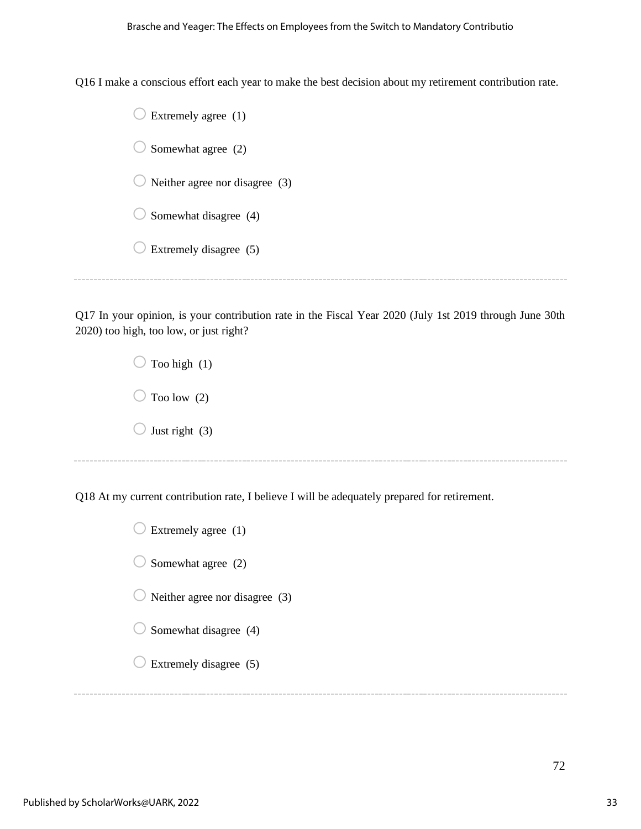Q16 I make a conscious effort each year to make the best decision about my retirement contribution rate.

| Extremely agree (1)            |  |
|--------------------------------|--|
| Somewhat agree (2)             |  |
| Neither agree nor disagree (3) |  |
| Somewhat disagree (4)          |  |
| Extremely disagree (5)         |  |
|                                |  |

Q17 In your opinion, is your contribution rate in the Fiscal Year 2020 (July 1st 2019 through June 30th 2020) too high, too low, or just right?

> $\bigcirc$  Too high (1)  $\bigcirc$  Too low (2)  $\bigcirc$  Just right (3)

Q18 At my current contribution rate, I believe I will be adequately prepared for retirement.

| $\bigcirc$ Extremely agree (1)            |
|-------------------------------------------|
| $\bigcirc$ Somewhat agree (2)             |
| $\bigcirc$ Neither agree nor disagree (3) |
| $\bigcirc$ Somewhat disagree (4)          |
| $\bigcup$ Extremely disagree (5)          |
|                                           |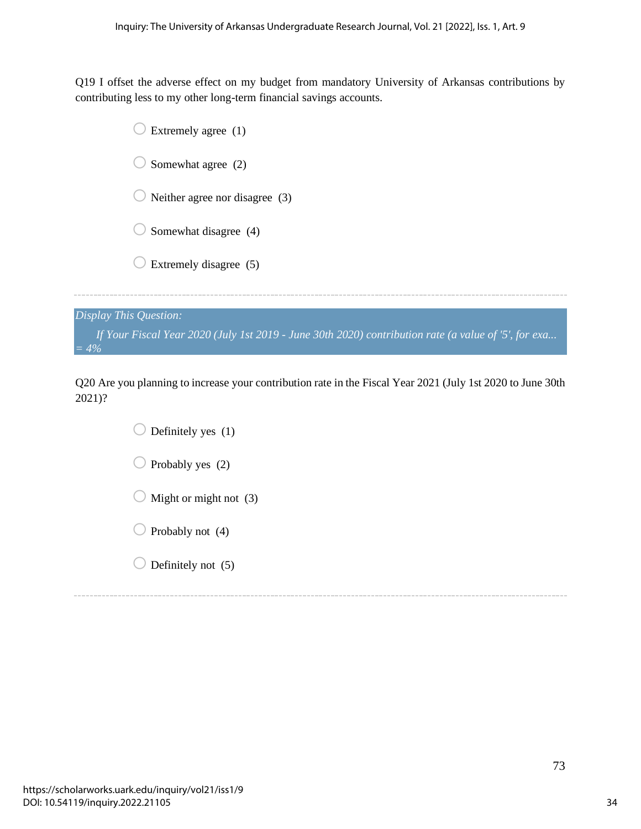Q19 I offset the adverse effect on my budget from mandatory University of Arkansas contributions by contributing less to my other long-term financial savings accounts.

| Extremely agree (1)            |
|--------------------------------|
| Somewhat agree (2)             |
| Neither agree nor disagree (3) |
| Somewhat disagree (4)          |
| Extremely disagree (5)         |
| $lm$ This Question:            |

*Display This Question: If Your Fiscal Year 2020 (July 1st 2019 - June 30th 2020) contribution rate (a value of '5', for exa... = 4%*

Q20 Are you planning to increase your contribution rate in the Fiscal Year 2021 (July 1st 2020 to June 30th 2021)?

> $\bigcirc$  Definitely yes (1)  $\bigcirc$  Probably yes (2)  $\bigcirc$  Might or might not (3)  $\bigcirc$  Probably not (4)  $\bigcirc$  Definitely not (5)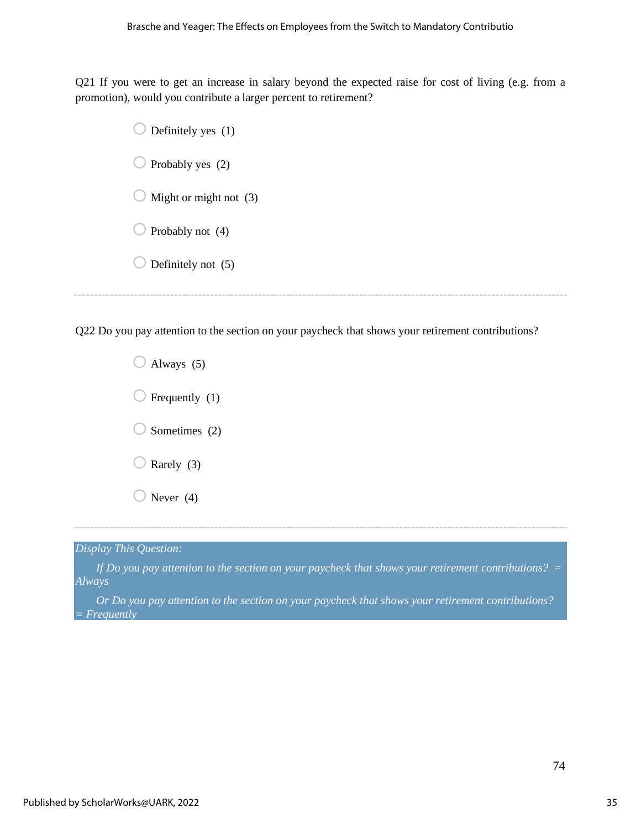Q21 If you were to get an increase in salary beyond the expected raise for cost of living (e.g. from a promotion), would you contribute a larger percent to retirement?

| Definitely yes (1)     |
|------------------------|
| Probably yes (2)       |
| Might or might not (3) |
| Probably not (4)       |
| Definitely not (5)     |
|                        |

Q22 Do you pay attention to the section on your paycheck that shows your retirement contributions?

 $\bigcirc$  Always (5)  $\sum$  Frequently (1)  $\bigcirc$  Sometimes (2)  $\sum$  Rarely (3)  $\bigcirc$  Never (4)

*Display This Question:*

*If Do you pay attention to the section on your paycheck that shows your retirement contributions?* = *Always*

*Or Do you pay attention to the section on your paycheck that shows your retirement contributions? = Frequently*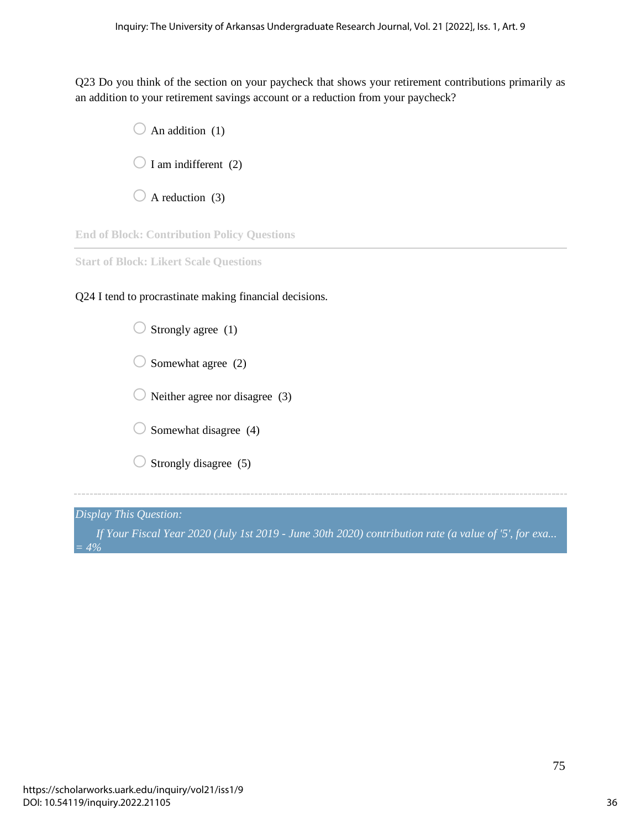Q23 Do you think of the section on your paycheck that shows your retirement contributions primarily as an addition to your retirement savings account or a reduction from your paycheck?

> $\bigcirc$  An addition (1)  $\bigcirc$  I am indifferent (2)  $\bigcirc$  A reduction (3)

**End of Block: Contribution Policy Questions**

**Start of Block: Likert Scale Questions**

Q24 I tend to procrastinate making financial decisions.

| Strongly agree (1)             |
|--------------------------------|
| Somewhat agree (2)             |
| Neither agree nor disagree (3) |
| Somewhat disagree (4)          |
| Strongly disagree (5)          |
|                                |

*Display This Question:*

*If Your Fiscal Year 2020 (July 1st 2019 - June 30th 2020) contribution rate (a value of '5', for exa... = 4%*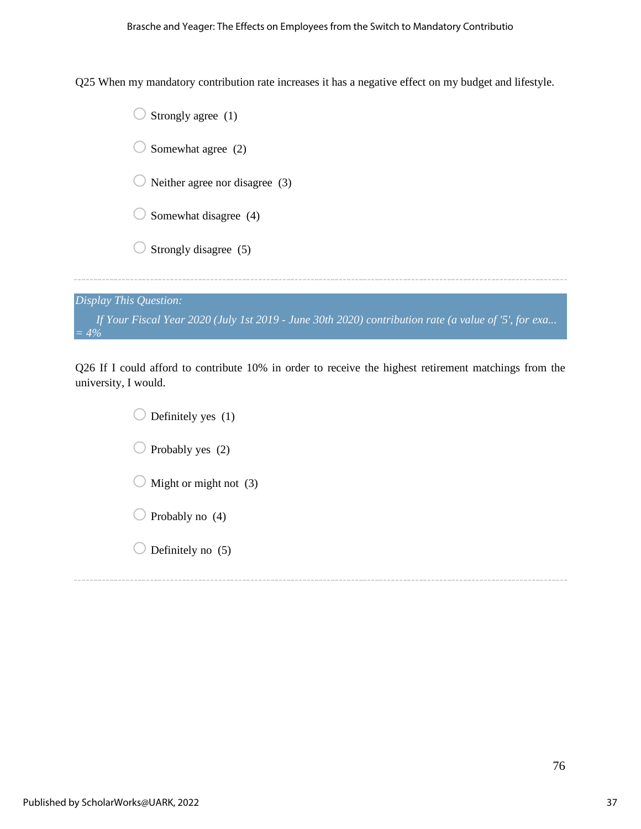Q25 When my mandatory contribution rate increases it has a negative effect on my budget and lifestyle.

|                        | Strongly agree (1)                                                                                   |
|------------------------|------------------------------------------------------------------------------------------------------|
|                        | Somewhat agree (2)                                                                                   |
|                        | Neither agree nor disagree (3)                                                                       |
|                        | Somewhat disagree (4)                                                                                |
|                        | Strongly disagree (5)                                                                                |
|                        |                                                                                                      |
| Display This Question: |                                                                                                      |
| $= 4\%$                | If Your Fiscal Year 2020 (July 1st 2019 - June 30th 2020) contribution rate (a value of '5', for exa |

Q26 If I could afford to contribute 10% in order to receive the highest retirement matchings from the university, I would.

> $\bigcirc$  Definitely yes (1)  $\bigcirc$  Probably yes (2)  $\bigcirc$  Might or might not (3)  $\bigcirc$  Probably no (4)  $\bigcirc$  Definitely no (5)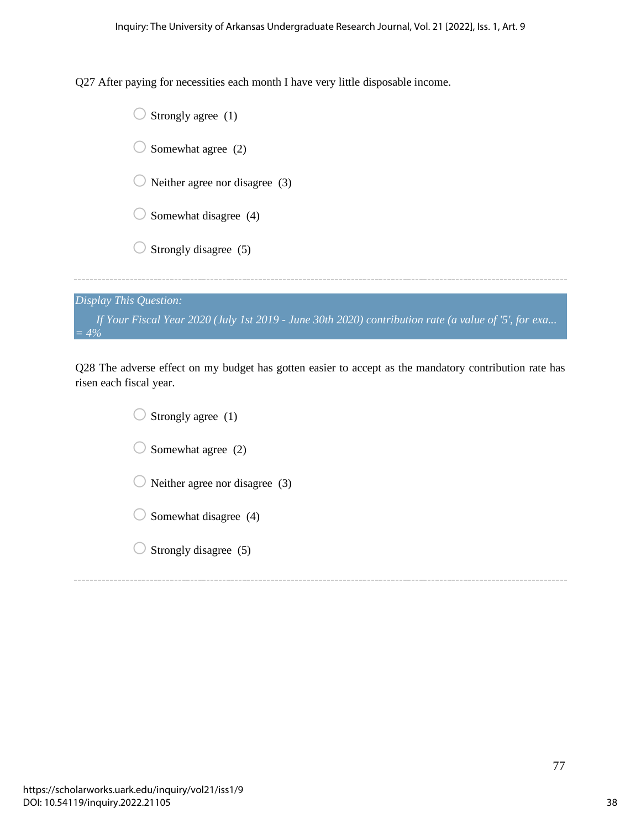Q27 After paying for necessities each month I have very little disposable income.

|                        | Strongly agree (1)                                                                                   |
|------------------------|------------------------------------------------------------------------------------------------------|
|                        | Somewhat agree (2)                                                                                   |
|                        | Neither agree nor disagree (3)                                                                       |
|                        | Somewhat disagree (4)                                                                                |
|                        | Strongly disagree (5)                                                                                |
|                        |                                                                                                      |
| Display This Question: |                                                                                                      |
| $= 4\%$                | If Your Fiscal Year 2020 (July 1st 2019 - June 30th 2020) contribution rate (a value of '5', for exa |

Q28 The adverse effect on my budget has gotten easier to accept as the mandatory contribution rate has risen each fiscal year.

> $\bigcirc$  Strongly agree (1)  $\bigcirc$  Somewhat agree (2)  $\bigcirc$  Neither agree nor disagree (3)  $\bigcirc$  Somewhat disagree (4)  $\bigcirc$  Strongly disagree (5)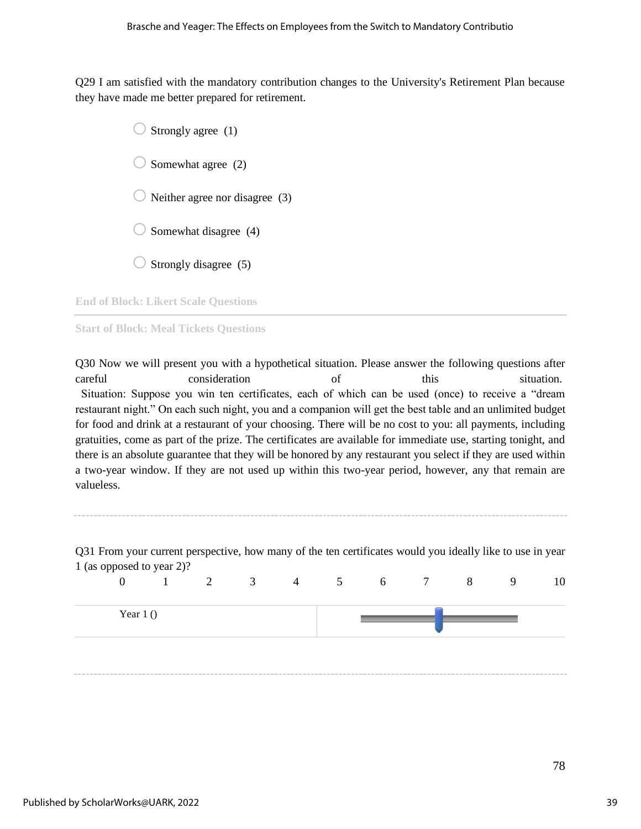Q29 I am satisfied with the mandatory contribution changes to the University's Retirement Plan because they have made me better prepared for retirement.

> Strongly agree  $(1)$ Somewhat agree  $(2)$  $\bigcup$  Neither agree nor disagree (3) Somewhat disagree (4) Strongly disagree  $(5)$

**End of Block: Likert Scale Questions**

**Start of Block: Meal Tickets Questions**

Q30 Now we will present you with a hypothetical situation. Please answer the following questions after careful consideration of this situation. Situation: Suppose you win ten certificates, each of which can be used (once) to receive a "dream restaurant night." On each such night, you and a companion will get the best table and an unlimited budget for food and drink at a restaurant of your choosing. There will be no cost to you: all payments, including gratuities, come as part of the prize. The certificates are available for immediate use, starting tonight, and there is an absolute guarantee that they will be honored by any restaurant you select if they are used within a two-year window. If they are not used up within this two-year period, however, any that remain are valueless.

Q31 From your current perspective, how many of the ten certificates would you ideally like to use in year 1 (as opposed to year 2)?

| $\mathbf{r}$ . The same is the same of $\mathbf{r}$<br>$\overline{0}$ |  | $1 \t 2 \t 3 \t 4 \t 5 \t 6 \t 7 \t 8$ |  |  | 9 | 10 |
|-----------------------------------------------------------------------|--|----------------------------------------|--|--|---|----|
| Year $1()$                                                            |  |                                        |  |  |   |    |
|                                                                       |  |                                        |  |  |   |    |

78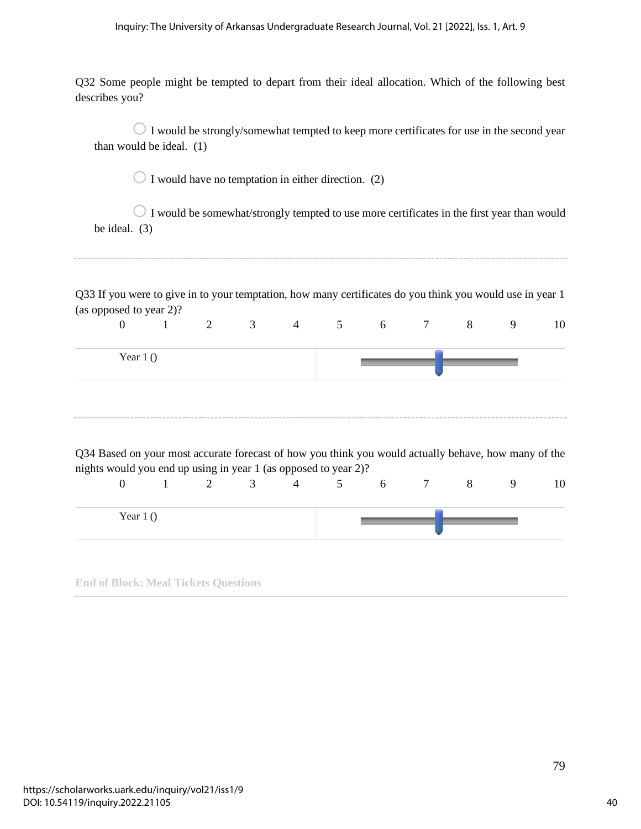#### Inquiry: The University of Arkansas Undergraduate Research Journal, Vol. 21 [2022], Iss. 1, Art. 9

Q32 Some people might be tempted to depart from their ideal allocation. Which of the following best describes you?

| than would be ideal. (1)                                                                                                                                                                    |              |                |                |                |                                                     |                 |        | $\bigcirc$ I would be strongly/somewhat tempted to keep more certificates for use in the second year  |   |    |
|---------------------------------------------------------------------------------------------------------------------------------------------------------------------------------------------|--------------|----------------|----------------|----------------|-----------------------------------------------------|-----------------|--------|-------------------------------------------------------------------------------------------------------|---|----|
|                                                                                                                                                                                             |              |                |                |                | I would have no temptation in either direction. (2) |                 |        |                                                                                                       |   |    |
| be ideal. $(3)$                                                                                                                                                                             |              |                |                |                |                                                     |                 |        | $\bigcirc$ I would be somewhat/strongly tempted to use more certificates in the first year than would |   |    |
| Q33 If you were to give in to your temptation, how many certificates do you think you would use in year 1<br>(as opposed to year 2)?                                                        |              |                |                |                |                                                     |                 |        |                                                                                                       |   |    |
| $\overline{0}$                                                                                                                                                                              | $\mathbf{1}$ | $\overline{2}$ | $3^{\circ}$    | $\overline{4}$ | 5 <sup>5</sup>                                      | 6               | $\tau$ | 8                                                                                                     | 9 | 10 |
| Year $1()$                                                                                                                                                                                  |              |                |                |                |                                                     |                 |        |                                                                                                       |   |    |
| Q34 Based on your most accurate forecast of how you think you would actually behave, how many of the<br>nights would you end up using in year 1 (as opposed to year 2)?<br>$\boldsymbol{0}$ | $\mathbf{1}$ | 2              | $\overline{3}$ | $\overline{4}$ | $5\overline{)}$                                     | $6\overline{6}$ | $\tau$ | 8                                                                                                     | 9 | 10 |
| Year $1()$                                                                                                                                                                                  |              |                |                |                |                                                     |                 |        |                                                                                                       |   |    |

**End of Block: Meal Tickets Questions**